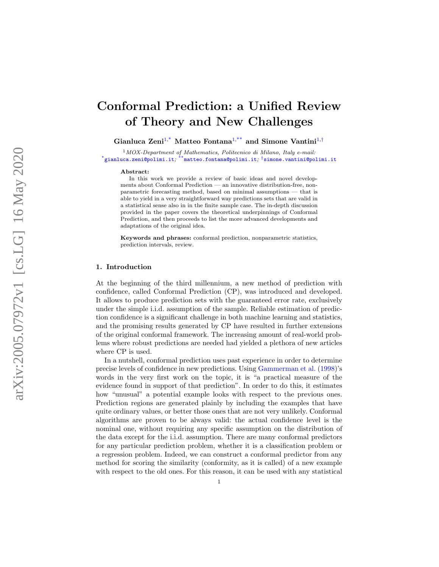# Conformal Prediction: a Unified Review of Theory and New Challenges

Gianluca Zeni<sup>[1](#page-0-0),\*</sup> Matteo Fontana<sup>1,\*\*</sup> and Simone Vantini<sup>1,†</sup>

<sup>1</sup>MOX-Department of Mathematics, Politecnico di Milano, Italy e-mail:  $^*$ [gianluca.zeni@polimi.it](mailto:gianluca.zeni@polimi.it),  $^{**}$ [matteo.fontana@polimi.it](mailto:matteo.fontana@polimi.it),  $^{\dagger}$ [simone.vantini@polimi.it](mailto:simone.vantini@polimi.it)

#### <span id="page-0-0"></span>Abstract:

In this work we provide a review of basic ideas and novel developments about Conformal Prediction — an innovative distribution-free, nonparametric forecasting method, based on minimal assumptions — that is able to yield in a very straightforward way predictions sets that are valid in a statistical sense also in in the finite sample case. The in-depth discussion provided in the paper covers the theoretical underpinnings of Conformal Prediction, and then proceeds to list the more advanced developments and adaptations of the original idea.

Keywords and phrases: conformal prediction, nonparametric statistics, prediction intervals, review.

### 1. Introduction

At the beginning of the third millennium, a new method of prediction with confidence, called Conformal Prediction (CP), was introduced and developed. It allows to produce prediction sets with the guaranteed error rate, exclusively under the simple i.i.d. assumption of the sample. Reliable estimation of prediction confidence is a significant challenge in both machine learning and statistics, and the promising results generated by CP have resulted in further extensions of the original conformal framework. The increasing amount of real-world problems where robust predictions are needed had yielded a plethora of new articles where CP is used.

In a nutshell, conformal prediction uses past experience in order to determine precise levels of confidence in new predictions. Using [Gammerman et al.](#page-32-0) [\(1998\)](#page-32-0)'s words in the very first work on the topic, it is "a practical measure of the evidence found in support of that prediction". In order to do this, it estimates how "unusual" a potential example looks with respect to the previous ones. Prediction regions are generated plainly by including the examples that have quite ordinary values, or better those ones that are not very unlikely. Conformal algorithms are proven to be always valid: the actual confidence level is the nominal one, without requiring any specific assumption on the distribution of the data except for the i.i.d. assumption. There are many conformal predictors for any particular prediction problem, whether it is a classification problem or a regression problem. Indeed, we can construct a conformal predictor from any method for scoring the similarity (conformity, as it is called) of a new example with respect to the old ones. For this reason, it can be used with any statistical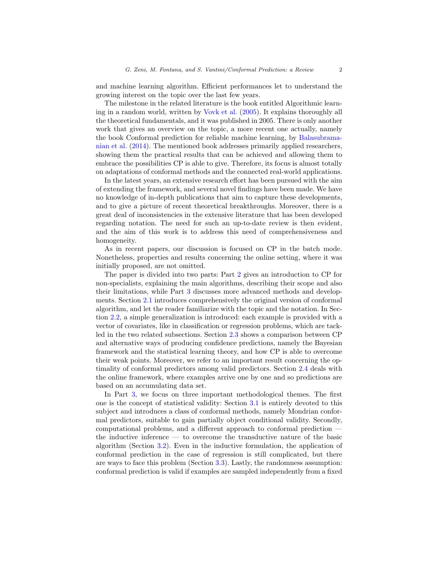and machine learning algorithm. Efficient performances let to understand the growing interest on the topic over the last few years.

The milestone in the related literature is the book entitled Algorithmic learning in a random world, written by [Vovk et al.](#page-34-0) [\(2005\)](#page-34-0). It explains thoroughly all the theoretical fundamentals, and it was published in 2005. There is only another work that gives an overview on the topic, a more recent one actually, namely the book Conformal prediction for reliable machine learning, by [Balasubrama](#page-31-0)[nian et al.](#page-31-0) [\(2014\)](#page-31-0). The mentioned book addresses primarily applied researchers, showing them the practical results that can be achieved and allowing them to embrace the possibilities CP is able to give. Therefore, its focus is almost totally on adaptations of conformal methods and the connected real-world applications.

In the latest years, an extensive research effort has been pursued with the aim of extending the framework, and several novel findings have been made. We have no knowledge of in-depth publications that aim to capture these developments, and to give a picture of recent theoretical breakthroughs. Moreover, there is a great deal of inconsistencies in the extensive literature that has been developed regarding notation. The need for such an up-to-date review is then evident, and the aim of this work is to address this need of comprehensiveness and homogeneity.

As in recent papers, our discussion is focused on CP in the batch mode. Nonetheless, properties and results concerning the online setting, where it was initially proposed, are not omitted.

The paper is divided into two parts: Part [2](#page-2-0) gives an introduction to CP for non-specialists, explaining the main algorithms, describing their scope and also their limitations, while Part [3](#page-14-0) discusses more advanced methods and developments. Section [2.1](#page-2-1) introduces comprehensively the original version of conformal algorithm, and let the reader familiarize with the topic and the notation. In Section [2.2,](#page-6-0) a simple generalization is introduced: each example is provided with a vector of covariates, like in classification or regression problems, which are tackled in the two related subsections. Section [2.3](#page-10-0) shows a comparison between CP and alternative ways of producing confidence predictions, namely the Bayesian framework and the statistical learning theory, and how CP is able to overcome their weak points. Moreover, we refer to an important result concerning the optimality of conformal predictors among valid predictors. Section [2.4](#page-12-0) deals with the online framework, where examples arrive one by one and so predictions are based on an accumulating data set.

In Part [3,](#page-14-0) we focus on three important methodological themes. The first one is the concept of statistical validity: Section [3.1](#page-14-1) is entirely devoted to this subject and introduces a class of conformal methods, namely Mondrian conformal predictors, suitable to gain partially object conditional validity. Secondly, computational problems, and a different approach to conformal prediction the inductive inference — to overcome the transductive nature of the basic algorithm (Section [3.2\)](#page-17-0). Even in the inductive formulation, the application of conformal prediction in the case of regression is still complicated, but there are ways to face this problem (Section [3.3\)](#page-21-0). Lastly, the randomness assumption: conformal prediction is valid if examples are sampled independently from a fixed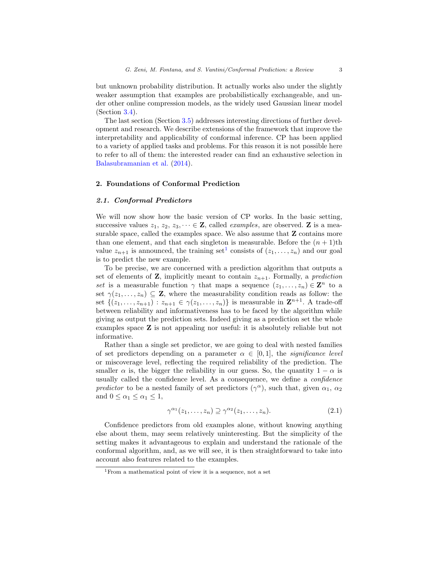but unknown probability distribution. It actually works also under the slightly weaker assumption that examples are probabilistically exchangeable, and under other online compression models, as the widely used Gaussian linear model (Section [3.4\)](#page-22-0).

The last section (Section [3.5\)](#page-25-0) addresses interesting directions of further development and research. We describe extensions of the framework that improve the interpretability and applicability of conformal inference. CP has been applied to a variety of applied tasks and problems. For this reason it is not possible here to refer to all of them: the interested reader can find an exhaustive selection in [Balasubramanian et al.](#page-31-0) [\(2014\)](#page-31-0).

# <span id="page-2-0"></span>2. Foundations of Conformal Prediction

# <span id="page-2-1"></span>2.1. Conformal Predictors

We will now show how the basic version of CP works. In the basic setting, successive values  $z_1, z_2, z_3, \dots \in \mathbb{Z}$ , called *examples*, are observed.  $\mathbb{Z}$  is a measurable space, called the examples space. We also assume that **Z** contains more than one element, and that each singleton is measurable. Before the  $(n + 1)$ th value  $z_{n+1}$  $z_{n+1}$  $z_{n+1}$  is announced, the training set<sup>1</sup> consists of  $(z_1, \ldots, z_n)$  and our goal is to predict the new example.

To be precise, we are concerned with a prediction algorithm that outputs a set of elements of **Z**, implicitly meant to contain  $z_{n+1}$ . Formally, a prediction set is a measurable function  $\gamma$  that maps a sequence  $(z_1, \ldots, z_n) \in \mathbb{Z}^n$  to a set  $\gamma(z_1, \ldots, z_n) \subseteq \mathbf{Z}$ , where the measurability condition reads as follow: the set  $\{(z_1,\ldots,z_{n+1}): z_{n+1} \in \gamma(z_1,\ldots,z_n)\}$  is measurable in  $\mathbb{Z}^{n+1}$ . A trade-off between reliability and informativeness has to be faced by the algorithm while giving as output the prediction sets. Indeed giving as a prediction set the whole examples space Z is not appealing nor useful: it is absolutely reliable but not informative.

Rather than a single set predictor, we are going to deal with nested families of set predictors depending on a parameter  $\alpha \in [0,1]$ , the *significance level* or miscoverage level, reflecting the required reliability of the prediction. The smaller  $\alpha$  is, the bigger the reliability in our guess. So, the quantity  $1 - \alpha$  is usually called the confidence level. As a consequence, we define a confidence predictor to be a nested family of set predictors  $(\gamma^{\alpha})$ , such that, given  $\alpha_1$ ,  $\alpha_2$ and  $0 \leq \alpha_1 \leq \alpha_1 \leq 1$ ,

$$
\gamma^{\alpha_1}(z_1,\ldots,z_n) \supseteq \gamma^{\alpha_2}(z_1,\ldots,z_n). \tag{2.1}
$$

Confidence predictors from old examples alone, without knowing anything else about them, may seem relatively uninteresting. But the simplicity of the setting makes it advantageous to explain and understand the rationale of the conformal algorithm, and, as we will see, it is then straightforward to take into account also features related to the examples.

<span id="page-2-2"></span><sup>1</sup>From a mathematical point of view it is a sequence, not a set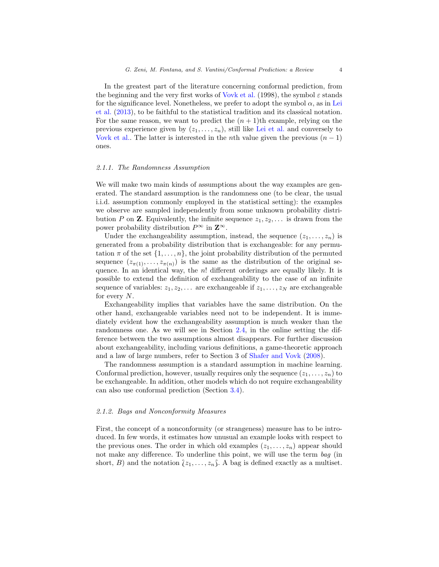In the greatest part of the literature concerning conformal prediction, from the beginning and the very first works of [Vovk et al.](#page-34-0) (1998), the symbol  $\varepsilon$  stands for the significance level. Nonetheless, we prefer to adopt the symbol  $\alpha$ , as in [Lei](#page-33-0) [et al.](#page-33-0) [\(2013\)](#page-33-0), to be faithful to the statistical tradition and its classical notation. For the same reason, we want to predict the  $(n+1)$ th example, relying on the previous experience given by  $(z_1, \ldots, z_n)$ , still like [Lei et al.](#page-32-1) and conversely to [Vovk et al..](#page-34-0) The latter is interested in the *n*th value given the previous  $(n - 1)$ ones.

#### 2.1.1. The Randomness Assumption

We will make two main kinds of assumptions about the way examples are generated. The standard assumption is the randomness one (to be clear, the usual i.i.d. assumption commonly employed in the statistical setting): the examples we observe are sampled independently from some unknown probability distribution P on **Z**. Equivalently, the infinite sequence  $z_1, z_2, \ldots$  is drawn from the power probability distribution  $P^{\infty}$  in  $\mathbf{Z}^{\infty}$ .

Under the exchangeability assumption, instead, the sequence  $(z_1, \ldots, z_n)$  is generated from a probability distribution that is exchangeable: for any permutation  $\pi$  of the set  $\{1, \ldots, n\}$ , the joint probability distribution of the permuted sequence  $(z_{\pi(1)},...,z_{\pi(n)})$  is the same as the distribution of the original sequence. In an identical way, the  $n!$  different orderings are equally likely. It is possible to extend the definition of exchangeability to the case of an infinite sequence of variables:  $z_1, z_2, \ldots$  are exchangeable if  $z_1, \ldots, z_N$  are exchangeable for every  $N$ .

Exchangeability implies that variables have the same distribution. On the other hand, exchangeable variables need not to be independent. It is immediately evident how the exchangeability assumption is much weaker than the randomness one. As we will see in Section [2.4,](#page-12-0) in the online setting the difference between the two assumptions almost disappears. For further discussion about exchangeability, including various definitions, a game-theoretic approach and a law of large numbers, refer to Section 3 of [Shafer and Vovk](#page-34-1) [\(2008\)](#page-34-1).

The randomness assumption is a standard assumption in machine learning. Conformal prediction, however, usually requires only the sequence  $(z_1, \ldots, z_n)$  to be exchangeable. In addition, other models which do not require exchangeability can also use conformal prediction (Section [3.4\)](#page-22-0).

#### 2.1.2. Bags and Nonconformity Measures

First, the concept of a nonconformity (or strangeness) measure has to be introduced. In few words, it estimates how unusual an example looks with respect to the previous ones. The order in which old examples  $(z_1, \ldots, z_n)$  appear should not make any difference. To underline this point, we will use the term bag (in short, B) and the notation  $\{z_1, \ldots, z_n\}$ . A bag is defined exactly as a multiset.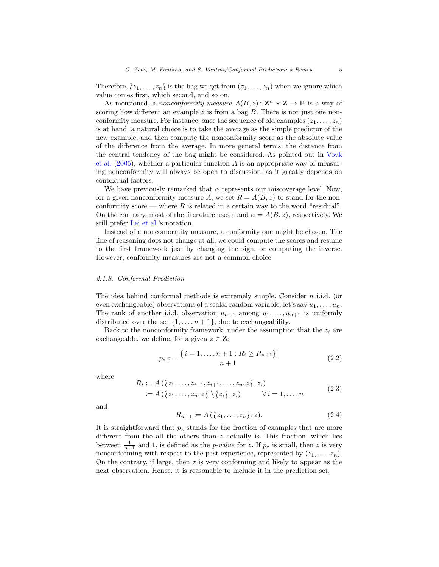Therefore,  $(z_1, \ldots, z_n)$  is the bag we get from  $(z_1, \ldots, z_n)$  when we ignore which value comes first, which second, and so on.

As mentioned, a *nonconformity measure*  $A(B, z)$ :  $\mathbf{Z}^n \times \mathbf{Z} \to \mathbb{R}$  is a way of scoring how different an example  $z$  is from a bag  $B$ . There is not just one nonconformity measure. For instance, once the sequence of old examples  $(z_1, \ldots, z_n)$ is at hand, a natural choice is to take the average as the simple predictor of the new example, and then compute the nonconformity score as the absolute value of the difference from the average. In more general terms, the distance from the central tendency of the bag might be considered. As pointed out in [Vovk](#page-34-0) [et al.](#page-34-0)  $(2005)$ , whether a particular function A is an appropriate way of measuring nonconformity will always be open to discussion, as it greatly depends on contextual factors.

We have previously remarked that  $\alpha$  represents our miscoverage level. Now, for a given nonconformity measure A, we set  $R = A(B, z)$  to stand for the nonconformity score — where R is related in a certain way to the word "residual". On the contrary, most of the literature uses  $\varepsilon$  and  $\alpha = A(B, z)$ , respectively. We still prefer [Lei et al.'](#page-32-1)s notation.

Instead of a nonconformity measure, a conformity one might be chosen. The line of reasoning does not change at all: we could compute the scores and resume to the first framework just by changing the sign, or computing the inverse. However, conformity measures are not a common choice.

#### 2.1.3. Conformal Prediction

The idea behind conformal methods is extremely simple. Consider  $n$  i.i.d. (or even exchangeable) observations of a scalar random variable, let's say  $u_1, \ldots, u_n$ . The rank of another i.i.d. observation  $u_{n+1}$  among  $u_1, \ldots, u_{n+1}$  is uniformly distributed over the set  $\{1, \ldots, n+1\}$ , due to exchangeability.

Back to the nonconformity framework, under the assumption that the  $z_i$  are exchangeable, we define, for a given  $z \in \mathbf{Z}$ :

<span id="page-4-0"></span>
$$
p_z := \frac{|\{i = 1, \dots, n + 1 : R_i \ge R_{n+1}\}|}{n+1}
$$
\n(2.2)

where

<span id="page-4-1"></span>
$$
R_i := A\left(\{z_1, \ldots, z_{i-1}, z_{i+1}, \ldots, z_n, z\}, z_i\right)
$$
  
 :=  $A\left(\{z_1, \ldots, z_n, z\}\setminus\{z_i\}, z_i\right) \qquad \forall \, i = 1, \ldots, n$  (2.3)

and

$$
R_{n+1} := A\left(\{z_1, \ldots, z_n\}, z\right). \tag{2.4}
$$

It is straightforward that  $p<sub>z</sub>$  stands for the fraction of examples that are more different from the all the others than  $z$  actually is. This fraction, which lies between  $\frac{1}{n+1}$  and 1, is defined as the *p-value* for z. If  $p_z$  is small, then z is very nonconforming with respect to the past experience, represented by  $(z_1, \ldots, z_n)$ . On the contrary, if large, then  $z$  is very conforming and likely to appear as the next observation. Hence, it is reasonable to include it in the prediction set.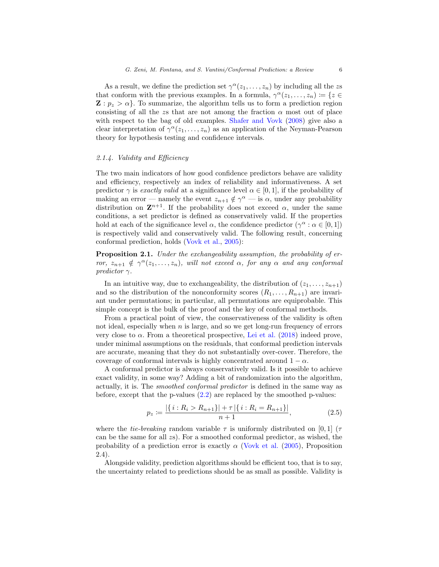As a result, we define the prediction set  $\gamma^{\alpha}(z_1,\ldots,z_n)$  by including all the zs that conform with the previous examples. In a formula,  $\gamma^{\alpha}(z_1,\ldots,z_n) \coloneqq \{z \in$  $\mathbf{Z} : p_z > \alpha$ . To summarize, the algorithm tells us to form a prediction region consisting of all the zs that are not among the fraction  $\alpha$  most out of place with respect to the bag of old examples. [Shafer and Vovk](#page-34-1) [\(2008\)](#page-34-1) give also a clear interpretation of  $\gamma^{\alpha}(z_1,\ldots,z_n)$  as an application of the Neyman-Pearson theory for hypothesis testing and confidence intervals.

# 2.1.4. Validity and Efficiency

The two main indicators of how good confidence predictors behave are validity and efficiency, respectively an index of reliability and informativeness. A set predictor  $\gamma$  is exactly valid at a significance level  $\alpha \in [0,1]$ , if the probability of making an error — namely the event  $z_{n+1} \notin \gamma^{\alpha}$  — is  $\alpha$ , under any probability distribution on  $\mathbf{Z}^{n+1}$ . If the probability does not exceed  $\alpha$ , under the same conditions, a set predictor is defined as conservatively valid. If the properties hold at each of the significance level  $\alpha$ , the confidence predictor  $(\gamma^{\alpha} : \alpha \in [0,1])$ is respectively valid and conservatively valid. The following result, concerning conformal prediction, holds [\(Vovk et al.,](#page-34-0) [2005\)](#page-34-0):

Proposition 2.1. Under the exchangeability assumption, the probability of error,  $z_{n+1} \notin \gamma^{\alpha}(z_1, \ldots, z_n)$ , will not exceed  $\alpha$ , for any  $\alpha$  and any conformal predictor  $\gamma$ .

In an intuitive way, due to exchangeability, the distribution of  $(z_1, \ldots, z_{n+1})$ and so the distribution of the nonconformity scores  $(R_1, \ldots, R_{n+1})$  are invariant under permutations; in particular, all permutations are equiprobable. This simple concept is the bulk of the proof and the key of conformal methods.

From a practical point of view, the conservativeness of the validity is often not ideal, especially when  $n$  is large, and so we get long-run frequency of errors very close to  $\alpha$ . From a theoretical prospective, [Lei et al.](#page-32-1) [\(2018\)](#page-32-1) indeed prove, under minimal assumptions on the residuals, that conformal prediction intervals are accurate, meaning that they do not substantially over-cover. Therefore, the coverage of conformal intervals is highly concentrated around  $1 - \alpha$ .

A conformal predictor is always conservatively valid. Is it possible to achieve exact validity, in some way? Adding a bit of randomization into the algorithm, actually, it is. The smoothed conformal predictor is defined in the same way as before, except that the p-values  $(2.2)$  are replaced by the smoothed p-values:

$$
p_z := \frac{|\{i: R_i > R_{n+1}\}| + \tau |\{i: R_i = R_{n+1}\}|}{n+1},\tag{2.5}
$$

where the *tie-breaking* random variable  $\tau$  is uniformly distributed on [0, 1] ( $\tau$ can be the same for all zs). For a smoothed conformal predictor, as wished, the probability of a prediction error is exactly  $\alpha$  [\(Vovk et al.](#page-34-0) [\(2005\)](#page-34-0), Proposition 2.4).

Alongside validity, prediction algorithms should be efficient too, that is to say, the uncertainty related to predictions should be as small as possible. Validity is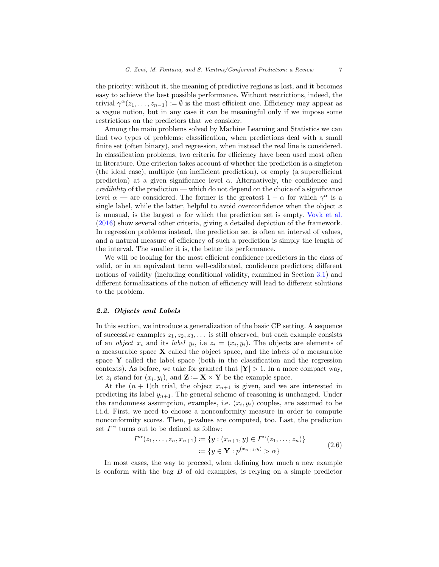the priority: without it, the meaning of predictive regions is lost, and it becomes easy to achieve the best possible performance. Without restrictions, indeed, the trivial  $\gamma^{\alpha}(z_1,\ldots,z_{n-1}) \coloneqq \emptyset$  is the most efficient one. Efficiency may appear as a vague notion, but in any case it can be meaningful only if we impose some restrictions on the predictors that we consider.

Among the main problems solved by Machine Learning and Statistics we can find two types of problems: classification, when predictions deal with a small finite set (often binary), and regression, when instead the real line is considered. In classification problems, two criteria for efficiency have been used most often in literature. One criterion takes account of whether the prediction is a singleton (the ideal case), multiple (an inefficient prediction), or empty (a superefficient prediction) at a given significance level  $\alpha$ . Alternatively, the confidence and  $\text{creditity}$  of the prediction — which do not depend on the choice of a significance level  $\alpha$  — are considered. The former is the greatest  $1 - \alpha$  for which  $\gamma^{\alpha}$  is a single label, while the latter, helpful to avoid overconfidence when the object  $x$ is unusual, is the largest  $\alpha$  for which the prediction set is empty. [Vovk et al.](#page-34-2) [\(2016\)](#page-34-2) show several other criteria, giving a detailed depiction of the framework. In regression problems instead, the prediction set is often an interval of values, and a natural measure of efficiency of such a prediction is simply the length of the interval. The smaller it is, the better its performance.

We will be looking for the most efficient confidence predictors in the class of valid, or in an equivalent term well-calibrated, confidence predictors; different notions of validity (including conditional validity, examined in Section [3.1\)](#page-14-1) and different formalizations of the notion of efficiency will lead to different solutions to the problem.

# <span id="page-6-0"></span>2.2. Objects and Labels

In this section, we introduce a generalization of the basic CP setting. A sequence of successive examples  $z_1, z_2, z_3, \ldots$  is still observed, but each example consists of an *object*  $x_i$  and its *label*  $y_i$ , i.e  $z_i = (x_i, y_i)$ . The objects are elements of a measurable space  $X$  called the object space, and the labels of a measurable space  $\bf{Y}$  called the label space (both in the classification and the regression contexts). As before, we take for granted that  $|Y| > 1$ . In a more compact way, let  $z_i$  stand for  $(x_i, y_i)$ , and  $\mathbf{Z} := \mathbf{X} \times \mathbf{Y}$  be the example space.

At the  $(n + 1)$ th trial, the object  $x_{n+1}$  is given, and we are interested in predicting its label  $y_{n+1}$ . The general scheme of reasoning is unchanged. Under the randomness assumption, examples, i.e.  $(x_i, y_i)$  couples, are assumed to be i.i.d. First, we need to choose a nonconformity measure in order to compute nonconformity scores. Then, p-values are computed, too. Last, the prediction set  $\Gamma^{\alpha}$  turns out to be defined as follow:

<span id="page-6-1"></span>
$$
\Gamma^{\alpha}(z_1, \dots, z_n, x_{n+1}) \coloneqq \{ y : (x_{n+1}, y) \in \Gamma^{\alpha}(z_1, \dots, z_n) \}
$$
  
 := { $y \in \mathbf{Y} : p^{(x_{n+1}, y)} > \alpha \}$  (2.6)

In most cases, the way to proceed, when defining how much a new example is conform with the bag  $B$  of old examples, is relying on a simple predictor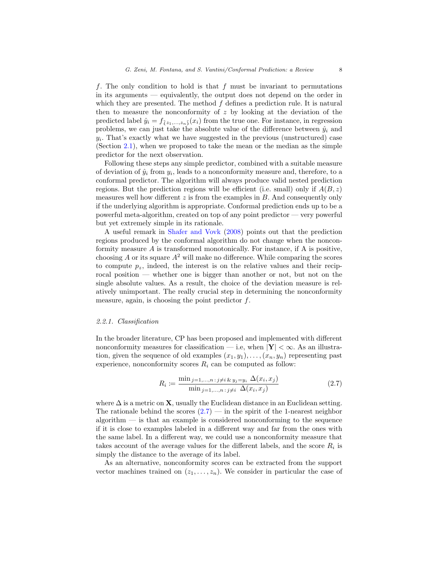f. The only condition to hold is that f must be invariant to permutations in its arguments — equivalently, the output does not depend on the order in which they are presented. The method  $f$  defines a prediction rule. It is natural then to measure the nonconformity of  $z$  by looking at the deviation of the predicted label  $\hat{y}_i = f_{(z_1,...,z_n)}(x_i)$  from the true one. For instance, in regression problems, we can just take the absolute value of the difference between  $\hat{y}_i$  and  $y_i$ . That's exactly what we have suggested in the previous (unstructured) case (Section [2.1\)](#page-2-1), when we proposed to take the mean or the median as the simple predictor for the next observation.

Following these steps any simple predictor, combined with a suitable measure of deviation of  $\hat{y}_i$  from  $y_i$ , leads to a nonconformity measure and, therefore, to a conformal predictor. The algorithm will always produce valid nested prediction regions. But the prediction regions will be efficient (i.e. small) only if  $A(B, z)$ measures well how different  $z$  is from the examples in  $B$ . And consequently only if the underlying algorithm is appropriate. Conformal prediction ends up to be a powerful meta-algorithm, created on top of any point predictor — very powerful but yet extremely simple in its rationale.

A useful remark in [Shafer and Vovk](#page-34-1) [\(2008\)](#page-34-1) points out that the prediction regions produced by the conformal algorithm do not change when the nonconformity measure  $A$  is transformed monotonically. For instance, if  $A$  is positive, choosing A or its square  $A^2$  will make no difference. While comparing the scores to compute  $p_z$ , indeed, the interest is on the relative values and their reciprocal position — whether one is bigger than another or not, but not on the single absolute values. As a result, the choice of the deviation measure is relatively unimportant. The really crucial step in determining the nonconformity measure, again, is choosing the point predictor  $f$ .

#### 2.2.1. Classification

In the broader literature, CP has been proposed and implemented with different nonconformity measures for classification — i.e, when  $|Y| < \infty$ . As an illustration, given the sequence of old examples  $(x_1, y_1), \ldots, (x_n, y_n)$  representing past experience, nonconformity scores  $R_i$  can be computed as follow:

<span id="page-7-0"></span>
$$
R_i := \frac{\min_{j=1,\dots,n} \,:\, j \neq i \, \& \, y_j = y_i \, \Delta(x_i, x_j)}{\min_{j=1,\dots,n} \,:\, j \neq i \, \Delta(x_i, x_j)} \tag{2.7}
$$

where  $\Delta$  is a metric on **X**, usually the Euclidean distance in an Euclidean setting. The rationale behind the scores  $(2.7)$  — in the spirit of the 1-nearest neighbor  $a$ lgorithm  $-$  is that an example is considered nonconforming to the sequence if it is close to examples labeled in a different way and far from the ones with the same label. In a different way, we could use a nonconformity measure that takes account of the average values for the different labels, and the score  $R_i$  is simply the distance to the average of its label.

As an alternative, nonconformity scores can be extracted from the support vector machines trained on  $(z_1, \ldots, z_n)$ . We consider in particular the case of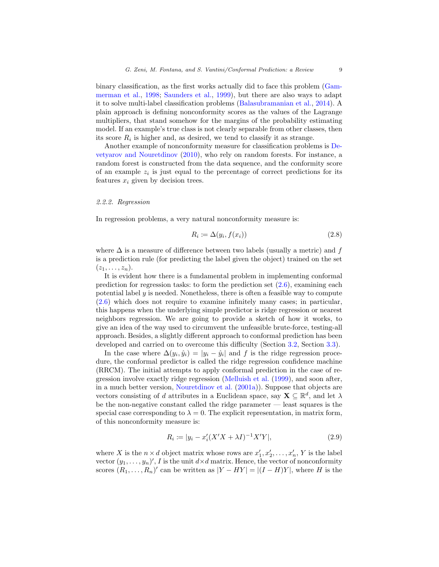binary classification, as the first works actually did to face this problem [\(Gam](#page-32-0)[merman et al.,](#page-32-0) [1998;](#page-32-0) [Saunders et al.,](#page-34-3) [1999\)](#page-34-3), but there are also ways to adapt it to solve multi-label classification problems [\(Balasubramanian et al.,](#page-31-0) [2014\)](#page-31-0). A plain approach is defining nonconformity scores as the values of the Lagrange multipliers, that stand somehow for the margins of the probability estimating model. If an example's true class is not clearly separable from other classes, then its score  $R_i$  is higher and, as desired, we tend to classify it as strange.

Another example of nonconformity measure for classification problems is [De](#page-32-2)[vetyarov and Nouretdinov](#page-32-2) [\(2010\)](#page-32-2), who rely on random forests. For instance, a random forest is constructed from the data sequence, and the conformity score of an example  $z_i$  is just equal to the percentage of correct predictions for its features  $x_i$  given by decision trees.

#### <span id="page-8-2"></span>2.2.2. Regression

In regression problems, a very natural nonconformity measure is:

<span id="page-8-1"></span>
$$
R_i \coloneqq \Delta(y_i, f(x_i)) \tag{2.8}
$$

where  $\Delta$  is a measure of difference between two labels (usually a metric) and f is a prediction rule (for predicting the label given the object) trained on the set  $(z_1,\ldots,z_n).$ 

It is evident how there is a fundamental problem in implementing conformal prediction for regression tasks: to form the prediction set  $(2.6)$ , examining each potential label  $\gamma$  is needed. Nonetheless, there is often a feasible way to compute [\(2.6\)](#page-6-1) which does not require to examine infinitely many cases; in particular, this happens when the underlying simple predictor is ridge regression or nearest neighbors regression. We are going to provide a sketch of how it works, to give an idea of the way used to circumvent the unfeasible brute-force, testing-all approach. Besides, a slightly different approach to conformal prediction has been developed and carried on to overcome this difficulty (Section [3.2,](#page-17-0) Section [3.3\)](#page-21-0).

In the case where  $\Delta(y_i, \hat{y}_i) = |y_i - \hat{y}_i|$  and f is the ridge regression procedure, the conformal predictor is called the ridge regression confidence machine (RRCM). The initial attempts to apply conformal prediction in the case of regression involve exactly ridge regression [\(Melluish et al.](#page-33-1) [\(1999\)](#page-33-1), and soon after, in a much better version, [Nouretdinov et al.](#page-33-2) [\(2001a\)](#page-33-2)). Suppose that objects are vectors consisting of d attributes in a Euclidean space, say  $\mathbf{X} \subseteq \mathbb{R}^d$ , and let  $\lambda$ be the non-negative constant called the ridge parameter — least squares is the special case corresponding to  $\lambda = 0$ . The explicit representation, in matrix form, of this nonconformity measure is:

<span id="page-8-0"></span>
$$
R_i := |y_i - x_i'(X'X + \lambda I)^{-1}X'Y|,
$$
\n(2.9)

where X is the  $n \times d$  object matrix whose rows are  $x'_1, x'_2, \ldots, x'_n$ , Y is the label vector  $(y_1, \ldots, y_n)'$ , I is the unit  $d \times d$  matrix. Hence, the vector of nonconformity scores  $(R_1, \ldots, R_n)'$  can be written as  $|Y - HY| = |(I - H)Y|$ , where H is the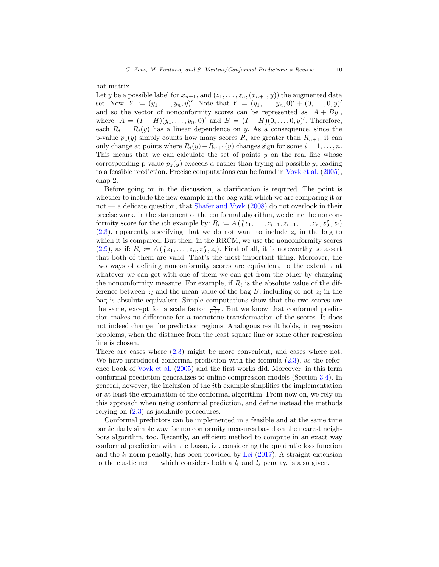hat matrix.

Let y be a possible label for  $x_{n+1}$ , and  $(z_1, \ldots, z_n,(x_{n+1}, y))$  the augmented data set. Now,  $Y := (y_1, \ldots, y_n, y)'$ . Note that  $Y = (y_1, \ldots, y_n, 0)' + (0, \ldots, 0, y)'$ and so the vector of nonconformity scores can be represented as  $|A + By|$ , where:  $A = (I - H)(y_1, \ldots, y_n, 0)$ ' and  $B = (I - H)(0, \ldots, 0, y)'$ . Therefore, each  $R_i = R_i(y)$  has a linear dependence on y. As a consequence, since the p-value  $p_z(y)$  simply counts how many scores  $R_i$  are greater than  $R_{n+1}$ , it can only change at points where  $R_i(y) - R_{n+1}(y)$  changes sign for some  $i = 1, \ldots, n$ . This means that we can calculate the set of points  $y$  on the real line whose corresponding p-value  $p_z(y)$  exceeds  $\alpha$  rather than trying all possible y, leading to a feasible prediction. Precise computations can be found in [Vovk et al.](#page-34-0) [\(2005\)](#page-34-0), chap 2.

Before going on in the discussion, a clarification is required. The point is whether to include the new example in the bag with which we are comparing it or not — a delicate question, that [Shafer and Vovk](#page-34-1) [\(2008\)](#page-34-1) do not overlook in their precise work. In the statement of the conformal algorithm, we define the nonconformity score for the *i*th example by:  $R_i := A\left(\{z_1, \ldots, z_{i-1}, z_{i+1}, \ldots, z_n, z\}, z_i\right)$  $(2.3)$ , apparently specifying that we do not want to include  $z<sub>i</sub>$  in the bag to which it is compared. But then, in the RRCM, we use the nonconformity scores  $(2.9)$ , as if:  $R_i := A\left(\langle z_1, \ldots, z_n, z \rangle, z_i\right)$ . First of all, it is noteworthy to assert that both of them are valid. That's the most important thing. Moreover, the that both of them are valid. That's the most important thing. Moreover, the two ways of defining nonconformity scores are equivalent, to the extent that whatever we can get with one of them we can get from the other by changing the nonconformity measure. For example, if  $R_i$  is the absolute value of the difference between  $z_i$  and the mean value of the bag B, including or not  $z_i$  in the bag is absolute equivalent. Simple computations show that the two scores are the same, except for a scale factor  $\frac{n}{n+1}$ . But we know that conformal prediction makes no difference for a monotone transformation of the scores. It does not indeed change the prediction regions. Analogous result holds, in regression problems, when the distance from the least square line or some other regression line is chosen.

There are cases where [\(2.3\)](#page-4-1) might be more convenient, and cases where not. We have introduced conformal prediction with the formula [\(2.3\)](#page-4-1), as the reference book of [Vovk et al.](#page-34-0) [\(2005\)](#page-34-0) and the first works did. Moreover, in this form conformal prediction generalizes to online compression models (Section [3.4\)](#page-22-0). In general, however, the inclusion of the ith example simplifies the implementation or at least the explanation of the conformal algorithm. From now on, we rely on this approach when using conformal prediction, and define instead the methods relying on [\(2.3\)](#page-4-1) as jackknife procedures.

Conformal predictors can be implemented in a feasible and at the same time particularly simple way for nonconformity measures based on the nearest neighbors algorithm, too. Recently, an efficient method to compute in an exact way conformal prediction with the Lasso, i.e. considering the quadratic loss function and the  $l_1$  norm penalty, has been provided by [Lei](#page-32-3) [\(2017\)](#page-32-3). A straight extension to the elastic net — which considers both a  $l_1$  and  $l_2$  penalty, is also given.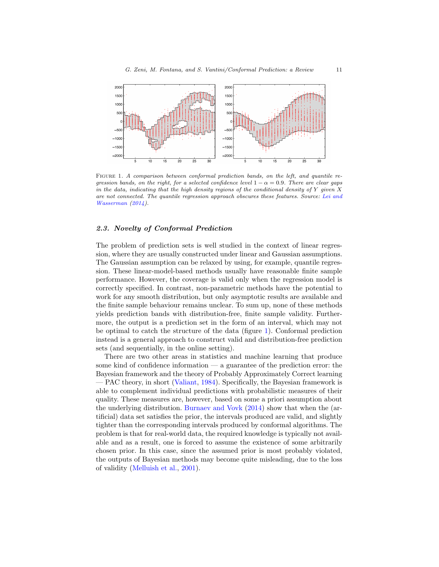

<span id="page-10-1"></span>FIGURE 1. A comparison between conformal prediction bands, on the left, and quantile regression bands, on the right, for a selected confidence level  $1 - \alpha = 0.9$ . There are clear gaps in the data, indicating that the high density regions of the conditional density of Y given  $X$ are not connected. The quantile regression approach obscures these features. Source: [Lei and](#page-33-3) [Wasserman](#page-33-3) [\(2014\)](#page-33-3).

# <span id="page-10-0"></span>2.3. Novelty of Conformal Prediction

The problem of prediction sets is well studied in the context of linear regression, where they are usually constructed under linear and Gaussian assumptions. The Gaussian assumption can be relaxed by using, for example, quantile regression. These linear-model-based methods usually have reasonable finite sample performance. However, the coverage is valid only when the regression model is correctly specified. In contrast, non-parametric methods have the potential to work for any smooth distribution, but only asymptotic results are available and the finite sample behaviour remains unclear. To sum up, none of these methods yields prediction bands with distribution-free, finite sample validity. Furthermore, the output is a prediction set in the form of an interval, which may not be optimal to catch the structure of the data (figure [1\)](#page-10-1). Conformal prediction instead is a general approach to construct valid and distribution-free prediction sets (and sequentially, in the online setting).

There are two other areas in statistics and machine learning that produce some kind of confidence information — a guarantee of the prediction error: the Bayesian framework and the theory of Probably Approximately Correct learning — PAC theory, in short [\(Valiant,](#page-34-4) [1984\)](#page-34-4). Specifically, the Bayesian framework is able to complement individual predictions with probabilistic measures of their quality. These measures are, however, based on some a priori assumption about the underlying distribution. [Burnaev and Vovk](#page-31-1) [\(2014\)](#page-31-1) show that when the (artificial) data set satisfies the prior, the intervals produced are valid, and slightly tighter than the corresponding intervals produced by conformal algorithms. The problem is that for real-world data, the required knowledge is typically not available and as a result, one is forced to assume the existence of some arbitrarily chosen prior. In this case, since the assumed prior is most probably violated, the outputs of Bayesian methods may become quite misleading, due to the loss of validity [\(Melluish et al.,](#page-33-4) [2001\)](#page-33-4).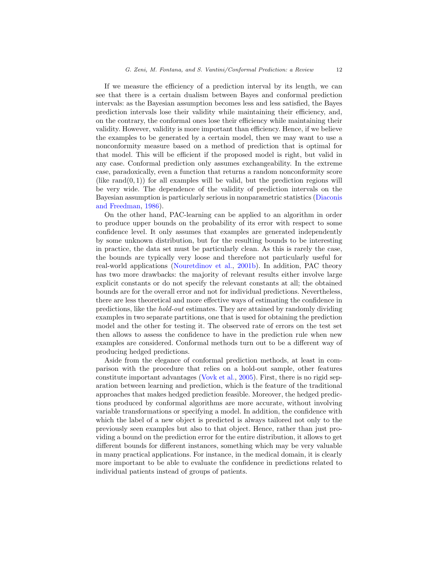If we measure the efficiency of a prediction interval by its length, we can see that there is a certain dualism between Bayes and conformal prediction intervals: as the Bayesian assumption becomes less and less satisfied, the Bayes prediction intervals lose their validity while maintaining their efficiency, and, on the contrary, the conformal ones lose their efficiency while maintaining their validity. However, validity is more important than efficiency. Hence, if we believe the examples to be generated by a certain model, then we may want to use a nonconformity measure based on a method of prediction that is optimal for that model. This will be efficient if the proposed model is right, but valid in any case. Conformal prediction only assumes exchangeability. In the extreme case, paradoxically, even a function that returns a random nonconformity score (like  $\text{rand}(0, 1)$ ) for all examples will be valid, but the prediction regions will be very wide. The dependence of the validity of prediction intervals on the Bayesian assumption is particularly serious in nonparametric statistics [\(Diaconis](#page-32-4) [and Freedman,](#page-32-4) [1986\)](#page-32-4).

On the other hand, PAC-learning can be applied to an algorithm in order to produce upper bounds on the probability of its error with respect to some confidence level. It only assumes that examples are generated independently by some unknown distribution, but for the resulting bounds to be interesting in practice, the data set must be particularly clean. As this is rarely the case, the bounds are typically very loose and therefore not particularly useful for real-world applications [\(Nouretdinov et al.,](#page-33-5) [2001b\)](#page-33-5). In addition, PAC theory has two more drawbacks: the majority of relevant results either involve large explicit constants or do not specify the relevant constants at all; the obtained bounds are for the overall error and not for individual predictions. Nevertheless, there are less theoretical and more effective ways of estimating the confidence in predictions, like the hold-out estimates. They are attained by randomly dividing examples in two separate partitions, one that is used for obtaining the prediction model and the other for testing it. The observed rate of errors on the test set then allows to assess the confidence to have in the prediction rule when new examples are considered. Conformal methods turn out to be a different way of producing hedged predictions.

Aside from the elegance of conformal prediction methods, at least in comparison with the procedure that relies on a hold-out sample, other features constitute important advantages [\(Vovk et al.,](#page-34-0) [2005\)](#page-34-0). First, there is no rigid separation between learning and prediction, which is the feature of the traditional approaches that makes hedged prediction feasible. Moreover, the hedged predictions produced by conformal algorithms are more accurate, without involving variable transformations or specifying a model. In addition, the confidence with which the label of a new object is predicted is always tailored not only to the previously seen examples but also to that object. Hence, rather than just providing a bound on the prediction error for the entire distribution, it allows to get different bounds for different instances, something which may be very valuable in many practical applications. For instance, in the medical domain, it is clearly more important to be able to evaluate the confidence in predictions related to individual patients instead of groups of patients.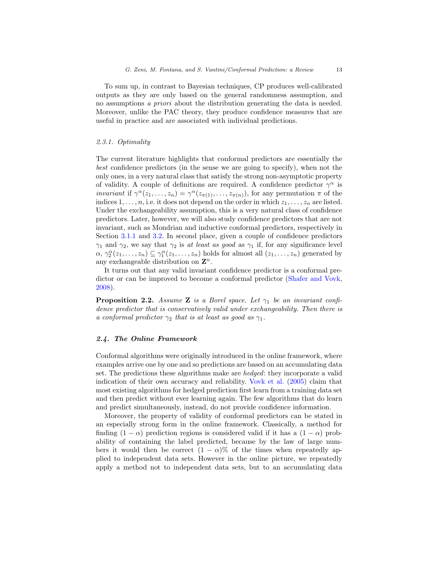To sum up, in contrast to Bayesian techniques, CP produces well-calibrated outputs as they are only based on the general randomness assumption, and no assumptions a priori about the distribution generating the data is needed. Moreover, unlike the PAC theory, they produce confidence measures that are useful in practice and are associated with individual predictions.

# 2.3.1. Optimality

The current literature highlights that conformal predictors are essentially the best confidence predictors (in the sense we are going to specify), when not the only ones, in a very natural class that satisfy the strong non-asymptotic property of validity. A couple of definitions are required. A confidence predictor  $\gamma^{\alpha}$  is *invariant* if  $\gamma^{\alpha}(z_1,\ldots,z_n) = \gamma^{\alpha}(z_{\pi(1)},\ldots,z_{\pi(n)})$ , for any permutation  $\pi$  of the indices  $1, \ldots, n$ , i.e. it does not depend on the order in which  $z_1, \ldots, z_n$  are listed. Under the exchangeability assumption, this is a very natural class of confidence predictors. Later, however, we will also study confidence predictors that are not invariant, such as Mondrian and inductive conformal predictors, respectively in Section [3.1.1](#page-15-0) and [3.2.](#page-17-0) In second place, given a couple of confidence predictors  $\gamma_1$  and  $\gamma_2$ , we say that  $\gamma_2$  is at least as good as  $\gamma_1$  if, for any significance level  $\alpha, \gamma_2^{\alpha}(z_1,\ldots,z_n) \subseteq \gamma_1^{\alpha}(z_1,\ldots,z_n)$  holds for almost all  $(z_1,\ldots,z_n)$  generated by any exchangeable distribution on  $\mathbf{Z}^n$ .

It turns out that any valid invariant confidence predictor is a conformal predictor or can be improved to become a conformal predictor [\(Shafer and Vovk,](#page-34-1) [2008\)](#page-34-1).

**Proposition 2.2.** Assume **Z** is a Borel space. Let  $\gamma_1$  be an invariant confidence predictor that is conservatively valid under exchangeability. Then there is a conformal predictor  $\gamma_2$  that is at least as good as  $\gamma_1$ .

### <span id="page-12-0"></span>2.4. The Online Framework

Conformal algorithms were originally introduced in the online framework, where examples arrive one by one and so predictions are based on an accumulating data set. The predictions these algorithms make are hedged: they incorporate a valid indication of their own accuracy and reliability. [Vovk et al.](#page-34-0) [\(2005\)](#page-34-0) claim that most existing algorithms for hedged prediction first learn from a training data set and then predict without ever learning again. The few algorithms that do learn and predict simultaneously, instead, do not provide confidence information.

Moreover, the property of validity of conformal predictors can be stated in an especially strong form in the online framework. Classically, a method for finding  $(1 - \alpha)$  prediction regions is considered valid if it has a  $(1 - \alpha)$  probability of containing the label predicted, because by the law of large numbers it would then be correct  $(1 - \alpha)$ % of the times when repeatedly applied to independent data sets. However in the online picture, we repeatedly apply a method not to independent data sets, but to an accumulating data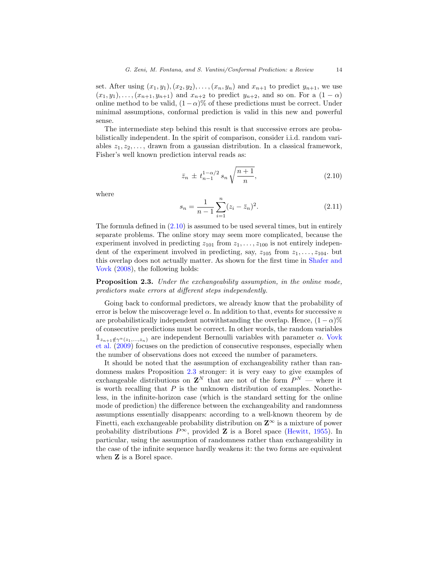set. After using  $(x_1, y_1), (x_2, y_2), \ldots, (x_n, y_n)$  and  $x_{n+1}$  to predict  $y_{n+1}$ , we use  $(x_1, y_1), \ldots, (x_{n+1}, y_{n+1})$  and  $x_{n+2}$  to predict  $y_{n+2}$ , and so on. For a  $(1 - \alpha)$ online method to be valid,  $(1-\alpha)$ % of these predictions must be correct. Under minimal assumptions, conformal prediction is valid in this new and powerful sense.

The intermediate step behind this result is that successive errors are probabilistically independent. In the spirit of comparison, consider i.i.d. random variables  $z_1, z_2, \ldots$ , drawn from a gaussian distribution. In a classical framework, Fisher's well known prediction interval reads as:

<span id="page-13-0"></span>
$$
\bar{z}_n \pm t_{n-1}^{1-\alpha/2} s_n \sqrt{\frac{n+1}{n}},\tag{2.10}
$$

where

$$
s_n = \frac{1}{n-1} \sum_{i=1}^{n} (z_i - \bar{z}_n)^2.
$$
 (2.11)

The formula defined in  $(2.10)$  is assumed to be used several times, but in entirely separate problems. The online story may seem more complicated, because the experiment involved in predicting  $z_{101}$  from  $z_1, \ldots, z_{100}$  is not entirely independent of the experiment involved in predicting, say,  $z_{105}$  from  $z_1, \ldots, z_{104}$ . but this overlap does not actually matter. As shown for the first time in [Shafer and](#page-34-1) [Vovk](#page-34-1) [\(2008\)](#page-34-1), the following holds:

<span id="page-13-1"></span>Proposition 2.3. Under the exchangeability assumption, in the online mode, predictors make errors at different steps independently.

Going back to conformal predictors, we already know that the probability of error is below the miscoverage level  $\alpha$ . In addition to that, events for successive n are probabilistically independent notwithstanding the overlap. Hence,  $(1 - \alpha)\%$ of consecutive predictions must be correct. In other words, the random variables  $\mathbb{1}_{z_{n+1}\notin\gamma^{\alpha}(z_1,...,z_n)}$  are independent Bernoulli variables with parameter  $\alpha$ . [Vovk](#page-35-0) [et al.](#page-35-0) [\(2009\)](#page-35-0) focuses on the prediction of consecutive responses, especially when the number of observations does not exceed the number of parameters.

It should be noted that the assumption of exchangeability rather than randomness makes Proposition [2.3](#page-13-1) stronger: it is very easy to give examples of exchangeable distributions on  $\mathbf{Z}^{N}$  that are not of the form  $P^{N}$  — where it is worth recalling that  $P$  is the unknown distribution of examples. Nonetheless, in the infinite-horizon case (which is the standard setting for the online mode of prediction) the difference between the exchangeability and randomness assumptions essentially disappears: according to a well-known theorem by de Finetti, each exchangeable probability distribution on  $\mathbb{Z}^{\infty}$  is a mixture of power probability distributions  $P^{\infty}$ , provided **Z** is a Borel space [\(Hewitt,](#page-32-5) [1955\)](#page-32-5). In particular, using the assumption of randomness rather than exchangeability in the case of the infinite sequence hardly weakens it: the two forms are equivalent when **Z** is a Borel space.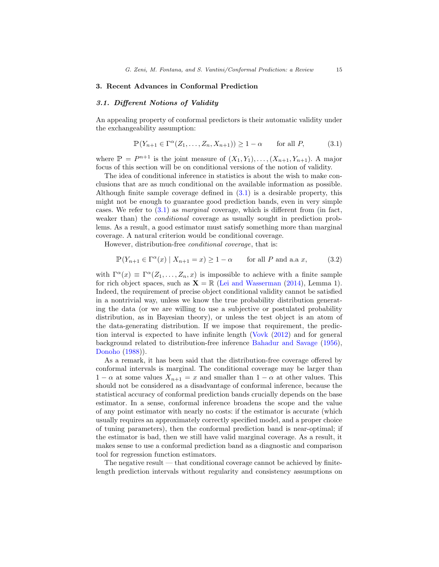### <span id="page-14-0"></span>3. Recent Advances in Conformal Prediction

## <span id="page-14-1"></span>3.1. Different Notions of Validity

An appealing property of conformal predictors is their automatic validity under the exchangeability assumption:

<span id="page-14-2"></span>
$$
\mathbb{P}(Y_{n+1} \in \Gamma^{\alpha}(Z_1, \dots, Z_n, X_{n+1})) \ge 1 - \alpha \quad \text{for all } P, \tag{3.1}
$$

where  $\mathbb{P} = P^{n+1}$  is the joint measure of  $(X_1, Y_1), \ldots, (X_{n+1}, Y_{n+1})$ . A major focus of this section will be on conditional versions of the notion of validity.

The idea of conditional inference in statistics is about the wish to make conclusions that are as much conditional on the available information as possible. Although finite sample coverage defined in  $(3.1)$  is a desirable property, this might not be enough to guarantee good prediction bands, even in very simple cases. We refer to  $(3.1)$  as *marginal* coverage, which is different from (in fact, weaker than) the *conditional* coverage as usually sought in prediction problems. As a result, a good estimator must satisfy something more than marginal coverage. A natural criterion would be conditional coverage.

However, distribution-free conditional coverage, that is:

$$
\mathbb{P}(Y_{n+1} \in \Gamma^{\alpha}(x) \mid X_{n+1} = x) \ge 1 - \alpha \quad \text{for all } P \text{ and a.a } x,\tag{3.2}
$$

with  $\Gamma^{\alpha}(x) \equiv \Gamma^{\alpha}(Z_1,\ldots,Z_n,x)$  is impossible to achieve with a finite sample for rich object spaces, such as  $X = \mathbb{R}$  [\(Lei and Wasserman](#page-33-3) [\(2014\)](#page-33-3), Lemma 1). Indeed, the requirement of precise object conditional validity cannot be satisfied in a nontrivial way, unless we know the true probability distribution generating the data (or we are willing to use a subjective or postulated probability distribution, as in Bayesian theory), or unless the test object is an atom of the data-generating distribution. If we impose that requirement, the prediction interval is expected to have infinite length [\(Vovk](#page-34-5) [\(2012\)](#page-34-5) and for general background related to distribution-free inference [Bahadur and Savage](#page-31-2) [\(1956\)](#page-31-2), [Donoho](#page-32-6) [\(1988\)](#page-32-6)).

As a remark, it has been said that the distribution-free coverage offered by conformal intervals is marginal. The conditional coverage may be larger than  $1 - \alpha$  at some values  $X_{n+1} = x$  and smaller than  $1 - \alpha$  at other values. This should not be considered as a disadvantage of conformal inference, because the statistical accuracy of conformal prediction bands crucially depends on the base estimator. In a sense, conformal inference broadens the scope and the value of any point estimator with nearly no costs: if the estimator is accurate (which usually requires an approximately correctly specified model, and a proper choice of tuning parameters), then the conformal prediction band is near-optimal; if the estimator is bad, then we still have valid marginal coverage. As a result, it makes sense to use a conformal prediction band as a diagnostic and comparison tool for regression function estimators.

The negative result — that conditional coverage cannot be achieved by finitelength prediction intervals without regularity and consistency assumptions on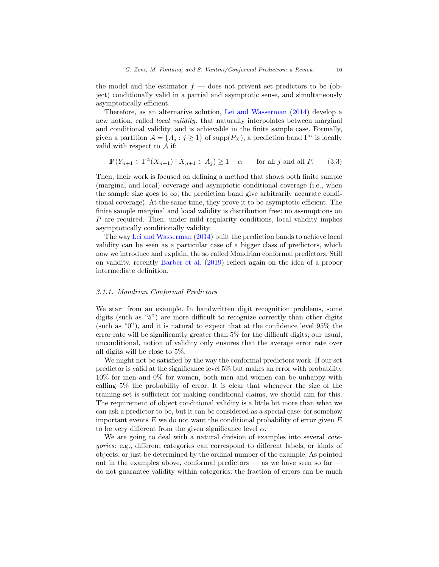the model and the estimator  $f$  — does not prevent set predictors to be (object) conditionally valid in a partial and asymptotic sense, and simultaneously asymptotically efficient.

Therefore, as an alternative solution, [Lei and Wasserman](#page-33-3) [\(2014\)](#page-33-3) develop a new notion, called local validity, that naturally interpolates between marginal and conditional validity, and is achievable in the finite sample case. Formally, given a partition  $\mathcal{A} = \{A_j : j \geq 1\}$  of supp $(P_X)$ , a prediction band  $\Gamma^{\alpha}$  is locally valid with respect to  $A$  if:

$$
\mathbb{P}(Y_{n+1} \in \Gamma^{\alpha}(X_{n+1}) \mid X_{n+1} \in A_j) \ge 1 - \alpha \quad \text{for all } j \text{ and all } P. \tag{3.3}
$$

Then, their work is focused on defining a method that shows both finite sample (marginal and local) coverage and asymptotic conditional coverage (i.e., when the sample size goes to  $\infty$ , the prediction band give arbitrarily accurate conditional coverage). At the same time, they prove it to be asymptotic efficient. The finite sample marginal and local validity is distribution free: no assumptions on P are required. Then, under mild regularity conditions, local validity implies asymptotically conditionally validity.

The way [Lei and Wasserman](#page-33-3) [\(2014\)](#page-33-3) built the prediction bands to achieve local validity can be seen as a particular case of a bigger class of predictors, which now we introduce and explain, the so called Mondrian conformal predictors. Still on validity, recently [Barber et al.](#page-31-3) [\(2019\)](#page-31-3) reflect again on the idea of a proper intermediate definition.

# <span id="page-15-0"></span>3.1.1. Mondrian Conformal Predictors

We start from an example. In handwritten digit recognition problems, some digits (such as "5") are more difficult to recognize correctly than other digits (such as "0"), and it is natural to expect that at the confidence level 95% the error rate will be significantly greater than 5% for the difficult digits; our usual, unconditional, notion of validity only ensures that the average error rate over all digits will be close to 5%.

We might not be satisfied by the way the conformal predictors work. If our set predictor is valid at the significance level 5% but makes an error with probability 10% for men and 0% for women, both men and women can be unhappy with calling 5% the probability of error. It is clear that whenever the size of the training set is sufficient for making conditional claims, we should aim for this. The requirement of object conditional validity is a little bit more than what we can ask a predictor to be, but it can be considered as a special case: for somehow important events  $E$  we do not want the conditional probability of error given  $E$ to be very different from the given significance level  $\alpha$ .

We are going to deal with a natural division of examples into several *cate*gories: e.g., different categories can correspond to different labels, or kinds of objects, or just be determined by the ordinal number of the example. As pointed out in the examples above, conformal predictors — as we have seen so far do not guarantee validity within categories: the fraction of errors can be much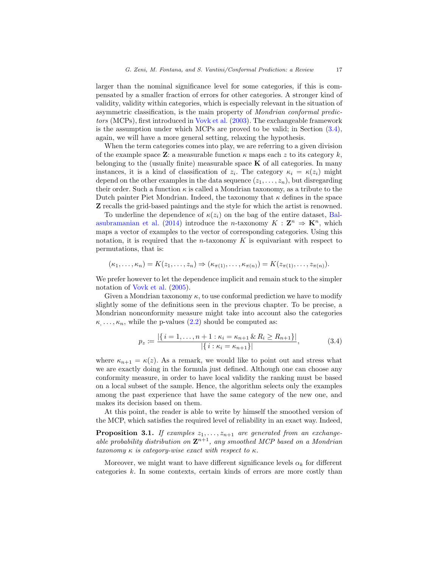larger than the nominal significance level for some categories, if this is compensated by a smaller fraction of errors for other categories. A stronger kind of validity, validity within categories, which is especially relevant in the situation of asymmetric classification, is the main property of Mondrian conformal predictors (MCPs), first introduced in [Vovk et al.](#page-35-1) [\(2003\)](#page-35-1). The exchangeable framework is the assumption under which MCPs are proved to be valid; in Section [\(3.4\)](#page-22-0), again, we will have a more general setting, relaxing the hypothesis.

When the term categories comes into play, we are referring to a given division of the example space **Z**: a measurable function  $\kappa$  maps each z to its category k, belonging to the (usually finite) measurable space  $K$  of all categories. In many instances, it is a kind of classification of  $z_i$ . The category  $\kappa_i = \kappa(z_i)$  might depend on the other examples in the data sequence  $(z_1, \ldots, z_n)$ , but disregarding their order. Such a function  $\kappa$  is called a Mondrian taxonomy, as a tribute to the Dutch painter Piet Mondrian. Indeed, the taxonomy that  $\kappa$  defines in the space Z recalls the grid-based paintings and the style for which the artist is renowned.

To underline the dependence of  $\kappa(z_i)$  on the bag of the entire dataset, [Bal](#page-31-0)[asubramanian et al.](#page-31-0) [\(2014\)](#page-31-0) introduce the *n*-taxonomy  $K : \mathbb{Z}^n \Rightarrow \mathbb{K}^n$ , which maps a vector of examples to the vector of corresponding categories. Using this notation, it is required that the *n*-taxonomy  $K$  is equivariant with respect to permutations, that is:

$$
(\kappa_1,\ldots,\kappa_n)=K(z_1,\ldots,z_n)\Rightarrow (\kappa_{\pi(1)},\ldots,\kappa_{\pi(n)})=K(z_{\pi(1)},\ldots,z_{\pi(n)}).
$$

We prefer however to let the dependence implicit and remain stuck to the simpler notation of [Vovk et al.](#page-34-0) [\(2005\)](#page-34-0).

Given a Mondrian taxonomy  $\kappa$ , to use conformal prediction we have to modify slightly some of the definitions seen in the previous chapter. To be precise, a Mondrian nonconformity measure might take into account also the categories  $\kappa, \ldots, \kappa_n$ , while the p-values  $(2.2)$  should be computed as:

$$
p_z := \frac{|\{i = 1, \dots, n+1 : \kappa_i = \kappa_{n+1} \& R_i \ge R_{n+1}\}|}{|\{i : \kappa_i = \kappa_{n+1}\}|},\tag{3.4}
$$

where  $\kappa_{n+1} = \kappa(z)$ . As a remark, we would like to point out and stress what we are exactly doing in the formula just defined. Although one can choose any conformity measure, in order to have local validity the ranking must be based on a local subset of the sample. Hence, the algorithm selects only the examples among the past experience that have the same category of the new one, and makes its decision based on them.

At this point, the reader is able to write by himself the smoothed version of the MCP, which satisfies the required level of reliability in an exact way. Indeed,

**Proposition 3.1.** If examples  $z_1, \ldots, z_{n+1}$  are generated from an exchangeable probability distribution on  $\mathbf{Z}^{n+1}$ , any smoothed MCP based on a Mondrian taxonomy  $\kappa$  is category-wise exact with respect to  $\kappa$ .

Moreover, we might want to have different significance levels  $\alpha_k$  for different categories k. In some contexts, certain kinds of errors are more costly than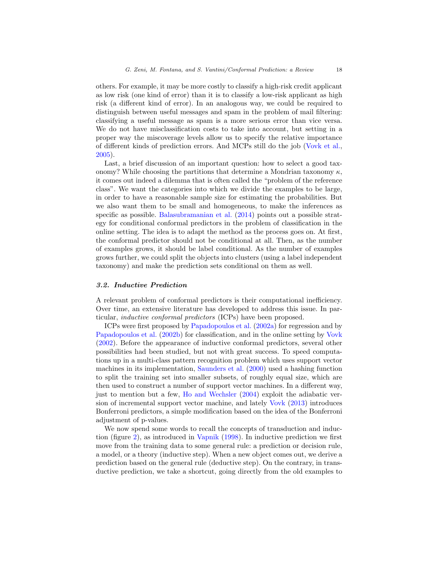others. For example, it may be more costly to classify a high-risk credit applicant as low risk (one kind of error) than it is to classify a low-risk applicant as high risk (a different kind of error). In an analogous way, we could be required to distinguish between useful messages and spam in the problem of mail filtering: classifying a useful message as spam is a more serious error than vice versa. We do not have misclassification costs to take into account, but setting in a proper way the miscoverage levels allow us to specify the relative importance of different kinds of prediction errors. And MCPs still do the job [\(Vovk et al.,](#page-34-0) [2005\)](#page-34-0).

Last, a brief discussion of an important question: how to select a good taxonomy? While choosing the partitions that determine a Mondrian taxonomy  $\kappa$ , it comes out indeed a dilemma that is often called the "problem of the reference class". We want the categories into which we divide the examples to be large, in order to have a reasonable sample size for estimating the probabilities. But we also want them to be small and homogeneous, to make the inferences as specific as possible. [Balasubramanian et al.](#page-31-0) [\(2014\)](#page-31-0) points out a possible strategy for conditional conformal predictors in the problem of classification in the online setting. The idea is to adapt the method as the process goes on. At first, the conformal predictor should not be conditional at all. Then, as the number of examples grows, it should be label conditional. As the number of examples grows further, we could split the objects into clusters (using a label independent taxonomy) and make the prediction sets conditional on them as well.

# <span id="page-17-0"></span>3.2. Inductive Prediction

A relevant problem of conformal predictors is their computational inefficiency. Over time, an extensive literature has developed to address this issue. In particular, inductive conformal predictors (ICPs) have been proposed.

ICPs were first proposed by [Papadopoulos et al.](#page-33-6) [\(2002a\)](#page-33-6) for regression and by [Papadopoulos et al.](#page-33-7) [\(2002b\)](#page-33-7) for classification, and in the online setting by [Vovk](#page-34-6) [\(2002\)](#page-34-6). Before the appearance of inductive conformal predictors, several other possibilities had been studied, but not with great success. To speed computations up in a multi-class pattern recognition problem which uses support vector machines in its implementation, [Saunders et al.](#page-34-7) [\(2000\)](#page-34-7) used a hashing function to split the training set into smaller subsets, of roughly equal size, which are then used to construct a number of support vector machines. In a different way, just to mention but a few, [Ho and Wechsler](#page-32-7) [\(2004\)](#page-32-7) exploit the adiabatic version of incremental support vector machine, and lately [Vovk](#page-34-8) [\(2013\)](#page-34-8) introduces Bonferroni predictors, a simple modification based on the idea of the Bonferroni adjustment of p-values.

We now spend some words to recall the concepts of transduction and induction (figure [2\)](#page-18-0), as introduced in [Vapnik](#page-34-9) [\(1998\)](#page-34-9). In inductive prediction we first move from the training data to some general rule: a prediction or decision rule, a model, or a theory (inductive step). When a new object comes out, we derive a prediction based on the general rule (deductive step). On the contrary, in transductive prediction, we take a shortcut, going directly from the old examples to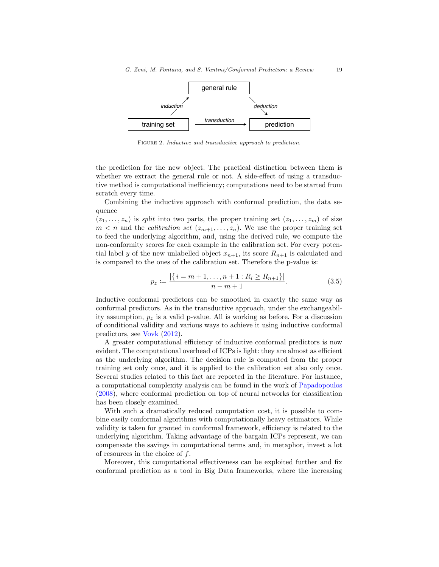

<span id="page-18-0"></span>FIGURE 2. Inductive and transductive approach to prediction.

the prediction for the new object. The practical distinction between them is whether we extract the general rule or not. A side-effect of using a transductive method is computational inefficiency; computations need to be started from scratch every time.

Combining the inductive approach with conformal prediction, the data sequence

 $(z_1, \ldots, z_n)$  is split into two parts, the proper training set  $(z_1, \ldots, z_m)$  of size  $m < n$  and the *calibration set*  $(z_{m+1},...,z_n)$ . We use the proper training set to feed the underlying algorithm, and, using the derived rule, we compute the non-conformity scores for each example in the calibration set. For every potential label y of the new unlabelled object  $x_{n+1}$ , its score  $R_{n+1}$  is calculated and is compared to the ones of the calibration set. Therefore the p-value is:

$$
p_z := \frac{|\{i = m+1, \dots, n+1 : R_i \ge R_{n+1}\}|}{n-m+1}.
$$
\n(3.5)

Inductive conformal predictors can be smoothed in exactly the same way as conformal predictors. As in the transductive approach, under the exchangeability assumption,  $p<sub>z</sub>$  is a valid p-value. All is working as before. For a discussion of conditional validity and various ways to achieve it using inductive conformal predictors, see [Vovk](#page-34-5) [\(2012\)](#page-34-5).

A greater computational efficiency of inductive conformal predictors is now evident. The computational overhead of ICPs is light: they are almost as efficient as the underlying algorithm. The decision rule is computed from the proper training set only once, and it is applied to the calibration set also only once. Several studies related to this fact are reported in the literature. For instance, a computational complexity analysis can be found in the work of [Papadopoulos](#page-33-8) [\(2008\)](#page-33-8), where conformal prediction on top of neural networks for classification has been closely examined.

With such a dramatically reduced computation cost, it is possible to combine easily conformal algorithms with computationally heavy estimators. While validity is taken for granted in conformal framework, efficiency is related to the underlying algorithm. Taking advantage of the bargain ICPs represent, we can compensate the savings in computational terms and, in metaphor, invest a lot of resources in the choice of f.

Moreover, this computational effectiveness can be exploited further and fix conformal prediction as a tool in Big Data frameworks, where the increasing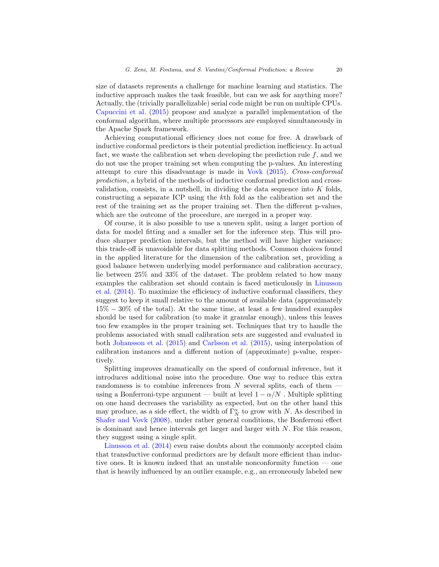size of datasets represents a challenge for machine learning and statistics. The inductive approach makes the task feasible, but can we ask for anything more? Actually, the (trivially parallelizable) serial code might be run on multiple CPUs. [Capuccini et al.](#page-31-4) [\(2015\)](#page-31-4) propose and analyze a parallel implementation of the conformal algorithm, where multiple processors are employed simultaneously in the Apache Spark framework.

Achieving computational efficiency does not come for free. A drawback of inductive conformal predictors is their potential prediction inefficiency. In actual fact, we waste the calibration set when developing the prediction rule  $f$ , and we do not use the proper training set when computing the p-values. An interesting attempt to cure this disadvantage is made in [Vovk](#page-34-10) [\(2015\)](#page-34-10). Cross-conformal prediction, a hybrid of the methods of inductive conformal prediction and crossvalidation, consists, in a nutshell, in dividing the data sequence into  $K$  folds, constructing a separate ICP using the kth fold as the calibration set and the rest of the training set as the proper training set. Then the different p-values, which are the outcome of the procedure, are merged in a proper way.

Of course, it is also possible to use a uneven split, using a larger portion of data for model fitting and a smaller set for the inference step. This will produce sharper prediction intervals, but the method will have higher variance; this trade-off is unavoidable for data splitting methods. Common choices found in the applied literature for the dimension of the calibration set, providing a good balance between underlying model performance and calibration accuracy, lie between 25% and 33% of the dataset. The problem related to how many examples the calibration set should contain is faced meticulously in [Linusson](#page-33-9) [et al.](#page-33-9) [\(2014\)](#page-33-9). To maximize the efficiency of inductive conformal classifiers, they suggest to keep it small relative to the amount of available data (approximately 15% − 30% of the total). At the same time, at least a few hundred examples should be used for calibration (to make it granular enough), unless this leaves too few examples in the proper training set. Techniques that try to handle the problems associated with small calibration sets are suggested and evaluated in both [Johansson et al.](#page-32-8) [\(2015\)](#page-32-8) and [Carlsson et al.](#page-31-5) [\(2015\)](#page-31-5), using interpolation of calibration instances and a different notion of (approximate) p-value, respectively.

Splitting improves dramatically on the speed of conformal inference, but it introduces additional noise into the procedure. One way to reduce this extra randomness is to combine inferences from  $N$  several splits, each of them  $$ using a Bonferroni-type argument — built at level  $1 - \alpha/N$ . Multiple splitting on one hand decreases the variability as expected, but on the other hand this may produce, as a side effect, the width of  $\Gamma_N^{\alpha}$  to grow with N. As described in [Shafer and Vovk](#page-34-1) [\(2008\)](#page-34-1), under rather general conditions, the Bonferroni effect is dominant and hence intervals get larger and larger with  $N$ . For this reason, they suggest using a single split.

[Linusson et al.](#page-33-9) [\(2014\)](#page-33-9) even raise doubts about the commonly accepted claim that transductive conformal predictors are by default more efficient than inductive ones. It is known indeed that an unstable nonconformity function — one that is heavily influenced by an outlier example, e.g., an erroneously labeled new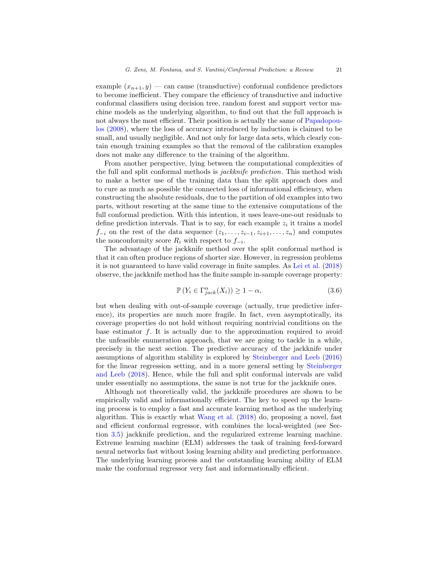example  $(x_{n+1}, y)$  — can cause (transductive) conformal confidence predictors to become inefficient. They compare the efficiency of transductive and inductive conformal classifiers using decision tree, random forest and support vector machine models as the underlying algorithm, to find out that the full approach is not always the most efficient. Their position is actually the same of [Papadopou](#page-33-8)[los](#page-33-8) [\(2008\)](#page-33-8), where the loss of accuracy introduced by induction is claimed to be small, and usually negligible. And not only for large data sets, which clearly contain enough training examples so that the removal of the calibration examples does not make any difference to the training of the algorithm.

From another perspective, lying between the computational complexities of the full and split conformal methods is jackknife prediction. This method wish to make a better use of the training data than the split approach does and to cure as much as possible the connected loss of informational efficiency, when constructing the absolute residuals, due to the partition of old examples into two parts, without resorting at the same time to the extensive computations of the full conformal prediction. With this intention, it uses leave-one-out residuals to define prediction intervals. That is to say, for each example  $z_i$  it trains a model  $f_{-i}$  on the rest of the data sequence  $(z_1, \ldots, z_{i-1}, z_{i+1}, \ldots, z_n)$  and computes the nonconformity score  $R_i$  with respect to  $f_{-i}$ .

The advantage of the jackknife method over the split conformal method is that it can often produce regions of shorter size. However, in regression problems it is not guaranteed to have valid coverage in finite samples. As [Lei et al.](#page-32-1) [\(2018\)](#page-32-1) observe, the jackknife method has the finite sample in-sample coverage property:

$$
\mathbb{P}\left(Y_i \in \Gamma_{jack}^{\alpha}(X_i)\right) \ge 1 - \alpha,\tag{3.6}
$$

but when dealing with out-of-sample coverage (actually, true predictive inference), its properties are much more fragile. In fact, even asymptotically, its coverage properties do not hold without requiring nontrivial conditions on the base estimator f. It is actually due to the approximation required to avoid the unfeasible enumeration approach, that we are going to tackle in a while, precisely in the next section. The predictive accuracy of the jackknife under assumptions of algorithm stability is explored by [Steinberger and Leeb](#page-34-11) [\(2016\)](#page-34-11) for the linear regression setting, and in a more general setting by [Steinberger](#page-34-12) [and Leeb](#page-34-12) [\(2018\)](#page-34-12). Hence, while the full and split conformal intervals are valid under essentially no assumptions, the same is not true for the jackknife ones.

Although not theoretically valid, the jackknife procedures are shown to be empirically valid and informationally efficient. The key to speed up the learning process is to employ a fast and accurate learning method as the underlying algorithm. This is exactly what [Wang et al.](#page-35-2) [\(2018\)](#page-35-2) do, proposing a novel, fast and efficient conformal regressor, with combines the local-weighted (see Section [3.5\)](#page-25-0) jackknife prediction, and the regularized extreme learning machine. Extreme learning machine (ELM) addresses the task of training feed-forward neural networks fast without losing learning ability and predicting performance. The underlying learning process and the outstanding learning ability of ELM make the conformal regressor very fast and informationally efficient.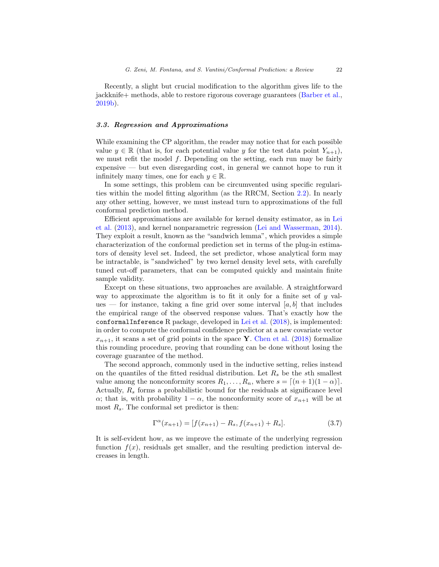Recently, a slight but crucial modification to the algorithm gives life to the jackknife+ methods, able to restore rigorous coverage guarantees [\(Barber et al.,](#page-31-6) [2019b\)](#page-31-6).

# <span id="page-21-0"></span>3.3. Regression and Approximations

While examining the CP algorithm, the reader may notice that for each possible value  $y \in \mathbb{R}$  (that is, for each potential value y for the test data point  $Y_{n+1}$ ), we must refit the model  $f$ . Depending on the setting, each run may be fairly expensive — but even disregarding cost, in general we cannot hope to run it infinitely many times, one for each  $y \in \mathbb{R}$ .

In some settings, this problem can be circumvented using specific regularities within the model fitting algorithm (as the RRCM, Section [2.2\)](#page-6-0). In nearly any other setting, however, we must instead turn to approximations of the full conformal prediction method.

Efficient approximations are available for kernel density estimator, as in [Lei](#page-33-0) [et al.](#page-33-0) [\(2013\)](#page-33-0), and kernel nonparametric regression [\(Lei and Wasserman,](#page-33-3) [2014\)](#page-33-3). They exploit a result, known as the "sandwich lemma", which provides a simple characterization of the conformal prediction set in terms of the plug-in estimators of density level set. Indeed, the set predictor, whose analytical form may be intractable, is "sandwiched" by two kernel density level sets, with carefully tuned cut-off parameters, that can be computed quickly and maintain finite sample validity.

Except on these situations, two approaches are available. A straightforward way to approximate the algorithm is to fit it only for a finite set of  $y$  values — for instance, taking a fine grid over some interval  $[a, b]$  that includes the empirical range of the observed response values. That's exactly how the conformalInference R package, developed in [Lei et al.](#page-32-1) [\(2018\)](#page-32-1), is implemented: in order to compute the conformal confidence predictor at a new covariate vector  $x_{n+1}$ , it scans a set of grid points in the space Y. [Chen et al.](#page-31-7) [\(2018\)](#page-31-7) formalize this rounding procedure, proving that rounding can be done without losing the coverage guarantee of the method.

The second approach, commonly used in the inductive setting, relies instead on the quantiles of the fitted residual distribution. Let  $R_s$  be the sth smallest value among the nonconformity scores  $R_1, \ldots, R_n$ , where  $s = \lfloor (n + 1)(1 - \alpha) \rfloor$ . Actually,  $R_s$  forms a probabilistic bound for the residuals at significance level  $\alpha$ ; that is, with probability  $1 - \alpha$ , the nonconformity score of  $x_{n+1}$  will be at most  $R_s$ . The conformal set predictor is then:

<span id="page-21-1"></span>
$$
\Gamma^{\alpha}(x_{n+1}) = [f(x_{n+1}) - R_s, f(x_{n+1}) + R_s]. \tag{3.7}
$$

It is self-evident how, as we improve the estimate of the underlying regression function  $f(x)$ , residuals get smaller, and the resulting prediction interval decreases in length.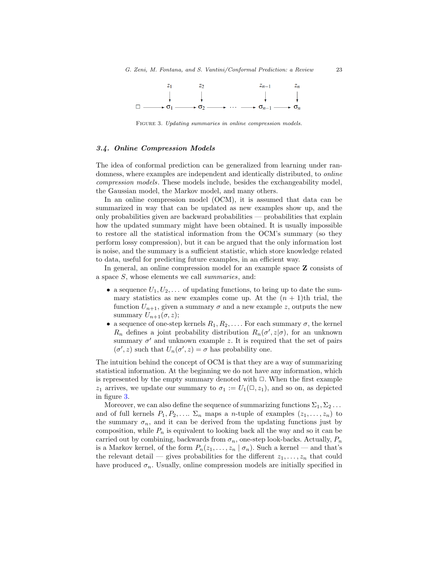

<span id="page-22-1"></span>FIGURE 3. Updating summaries in online compression models.

# <span id="page-22-0"></span>3.4. Online Compression Models

The idea of conformal prediction can be generalized from learning under randomness, where examples are independent and identically distributed, to *online* compression models. These models include, besides the exchangeability model, the Gaussian model, the Markov model, and many others.

In an online compression model (OCM), it is assumed that data can be summarized in way that can be updated as new examples show up, and the only probabilities given are backward probabilities — probabilities that explain how the updated summary might have been obtained. It is usually impossible to restore all the statistical information from the OCM's summary (so they perform lossy compression), but it can be argued that the only information lost is noise, and the summary is a sufficient statistic, which store knowledge related to data, useful for predicting future examples, in an efficient way.

In general, an online compression model for an example space Z consists of a space S, whose elements we call summaries, and:

- a sequence  $U_1, U_2, \ldots$  of updating functions, to bring up to date the summary statistics as new examples come up. At the  $(n + 1)$ th trial, the function  $U_{n+1}$ , given a summary  $\sigma$  and a new example z, outputs the new summary  $U_{n+1}(\sigma,z);$
- a sequence of one-step kernels  $R_1, R_2, \ldots$ . For each summary  $\sigma$ , the kernel  $R_n$  defines a joint probability distribution  $R_n(\sigma', z | \sigma)$ , for an unknown summary  $\sigma'$  and unknown example z. It is required that the set of pairs  $(\sigma', z)$  such that  $U_n(\sigma', z) = \sigma$  has probability one.

The intuition behind the concept of OCM is that they are a way of summarizing statistical information. At the beginning we do not have any information, which is represented by the empty summary denoted with  $\Box$ . When the first example  $z_1$  arrives, we update our summary to  $\sigma_1 := U_1(\square, z_1)$ , and so on, as depicted in figure [3.](#page-22-1)

Moreover, we can also define the sequence of summarizing functions  $\Sigma_1, \Sigma_2 \ldots$ and of full kernels  $P_1, P_2, \ldots \Sigma_n$  maps a *n*-tuple of examples  $(z_1, \ldots, z_n)$  to the summary  $\sigma_n$ , and it can be derived from the updating functions just by composition, while  $P_n$  is equivalent to looking back all the way and so it can be carried out by combining, backwards from  $\sigma_n$ , one-step look-backs. Actually,  $P_n$ is a Markov kernel, of the form  $P_n(z_1, \ldots, z_n | \sigma_n)$ . Such a kernel — and that's the relevant detail — gives probabilities for the different  $z_1, \ldots, z_n$  that could have produced  $\sigma_n$ . Usually, online compression models are initially specified in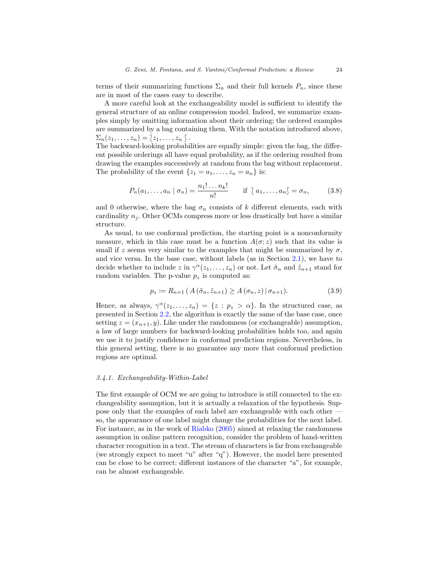terms of their summarizing functions  $\Sigma_n$  and their full kernels  $P_n$ , since these are in most of the cases easy to describe.

A more careful look at the exchangeability model is sufficient to identify the general structure of an online compression model. Indeed, we summarize examples simply by omitting information about their ordering; the ordered examples are summarized by a bag containing them. With the notation introduced above,  $\Sigma_n(z_1,\ldots,z_n)=\{z_1,\ldots,z_n\}$ .

The backward-looking probabilities are equally simple: given the bag, the different possible orderings all have equal probability, as if the ordering resulted from drawing the examples successively at random from the bag without replacement. The probability of the event  $\{z_1 = a_1, \ldots, z_n = a_n\}$  is:

$$
P_n(a_1,\ldots,a_n \mid \sigma_n) = \frac{n_1! \ldots n_k!}{n!} \quad \text{if } \{a_1,\ldots,a_n\} = \sigma_n,
$$
 (3.8)

and 0 otherwise, where the bag  $\sigma_n$  consists of k different elements, each with cardinality  $n_i$ . Other OCMs compress more or less drastically but have a similar structure.

As usual, to use conformal prediction, the starting point is a nonconformity measure, which in this case must be a function  $A(\sigma; z)$  such that its value is small if z seems very similar to the examples that might be summarized by  $\sigma$ , and vice versa. In the base case, without labels (as in Section [2.1\)](#page-2-1), we have to decide whether to include z in  $\gamma^{\alpha}(z_1,\ldots,z_n)$  or not. Let  $\tilde{\sigma}_n$  and  $\tilde{z}_{n+1}$  stand for random variables. The p-value  $p_z$  is computed as:

$$
p_z := R_{n+1} \left( A(\tilde{\sigma}_n, \tilde{z}_{n+1}) \ge A(\sigma_n, z) \, | \, \sigma_{n+1} \right). \tag{3.9}
$$

Hence, as always,  $\gamma^{\alpha}(z_1,\ldots,z_n) = \{z : p_z > \alpha\}$ . In the structured case, as presented in Section [2.2,](#page-6-0) the algorithm is exactly the same of the base case, once setting  $z = (x_{n+1}, y)$ . Like under the randomness (or exchangeable) assumption, a law of large numbers for backward-looking probabilities holds too, and again we use it to justify confidence in conformal prediction regions. Nevertheless, in this general setting, there is no guarantee any more that conformal prediction regions are optimal.

# 3.4.1. Exchangeability-Within-Label

The first example of OCM we are going to introduce is still connected to the exchangeability assumption, but it is actually a relaxation of the hypothesis. Suppose only that the examples of each label are exchangeable with each other so, the appearance of one label might change the probabilities for the next label. For instance, as in the work of [Riabko](#page-34-13) [\(2005\)](#page-34-13) aimed at relaxing the randomness assumption in online pattern recognition, consider the problem of hand-written character recognition in a text. The stream of characters is far from exchangeable (we strongly expect to meet "u" after "q"). However, the model here presented can be close to be correct: different instances of the character "a", for example, can be almost exchangeable.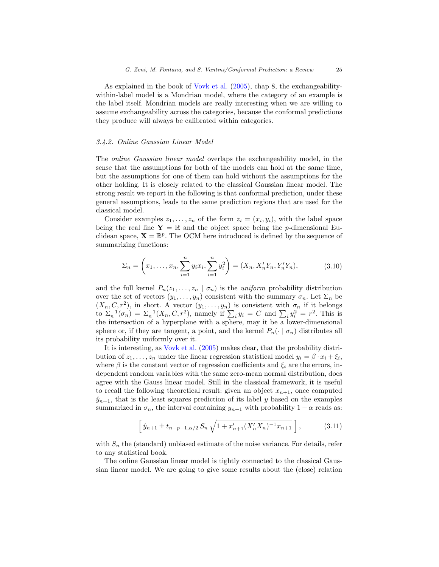As explained in the book of [Vovk et al.](#page-34-0) [\(2005\)](#page-34-0), chap 8, the exchangeabilitywithin-label model is a Mondrian model, where the category of an example is the label itself. Mondrian models are really interesting when we are willing to assume exchangeability across the categories, because the conformal predictions they produce will always be calibrated within categories.

# 3.4.2. Online Gaussian Linear Model

The online Gaussian linear model overlaps the exchangeability model, in the sense that the assumptions for both of the models can hold at the same time, but the assumptions for one of them can hold without the assumptions for the other holding. It is closely related to the classical Gaussian linear model. The strong result we report in the following is that conformal prediction, under these general assumptions, leads to the same prediction regions that are used for the classical model.

Consider examples  $z_1, \ldots, z_n$  of the form  $z_i = (x_i, y_i)$ , with the label space being the real line  $Y = \mathbb{R}$  and the object space being the *p*-dimensional Euclidean space,  $\mathbf{X} = \mathbb{R}^p$ . The OCM here introduced is defined by the sequence of summarizing functions:

$$
\Sigma_n = \left(x_1, \dots, x_n, \sum_{i=1}^n y_i x_i, \sum_{i=1}^n y_i^2\right) = (X_n, X'_n Y_n, Y'_n Y_n),\tag{3.10}
$$

and the full kernel  $P_n(z_1, \ldots, z_n | \sigma_n)$  is the uniform probability distribution over the set of vectors  $(y_1, \ldots, y_n)$  consistent with the summary  $\sigma_n$ . Let  $\Sigma_n$  be  $(X_n, C, r^2)$ , in short. A vector  $(y_1, \ldots, y_n)$  is consistent with  $\sigma_n$  if it belongs to  $\Sigma_n^{-1}(\sigma_n) = \Sigma_n^{-1}(X_n, C, r^2)$ , namely if  $\sum_i y_i = C$  and  $\sum_i y_i^2 = r^2$ . This is the intersection of a hyperplane with a sphere, may it be a lower-dimensional sphere or, if they are tangent, a point, and the kernel  $P_n(\cdot | \sigma_n)$  distributes all its probability uniformly over it.

It is interesting, as [Vovk et al.](#page-34-0) [\(2005\)](#page-34-0) makes clear, that the probability distribution of  $z_1, \ldots, z_n$  under the linear regression statistical model  $y_i = \beta \cdot x_i + \xi_i$ , where  $\beta$  is the constant vector of regression coefficients and  $\xi_i$  are the errors, independent random variables with the same zero-mean normal distribution, does agree with the Gauss linear model. Still in the classical framework, it is useful to recall the following theoretical result: given an object  $x_{n+1}$ , once computed  $\hat{y}_{n+1}$ , that is the least squares prediction of its label y based on the examples summarized in  $\sigma_n$ , the interval containing  $y_{n+1}$  with probability  $1 - \alpha$  reads as:

<span id="page-24-0"></span>
$$
\left[\hat{y}_{n+1} \pm t_{n-p-1,\alpha/2} S_n \sqrt{1 + x'_{n+1} (X'_n X_n)^{-1} x_{n+1}}\right],\tag{3.11}
$$

with  $S_n$  the (standard) unbiased estimate of the noise variance. For details, refer to any statistical book.

The online Gaussian linear model is tightly connected to the classical Gaussian linear model. We are going to give some results about the (close) relation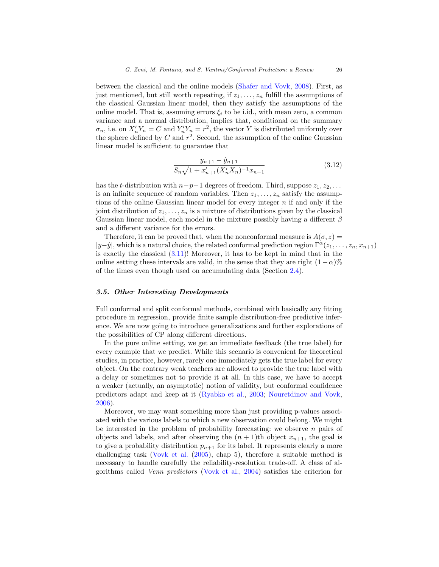between the classical and the online models [\(Shafer and Vovk,](#page-34-1) [2008\)](#page-34-1). First, as just mentioned, but still worth repeating, if  $z_1, \ldots, z_n$  fulfill the assumptions of the classical Gaussian linear model, then they satisfy the assumptions of the online model. That is, assuming errors  $\xi_i$  to be i.id., with mean zero, a common variance and a normal distribution, implies that, conditional on the summary  $\sigma_n$ , i.e. on  $X_n' Y_n = C$  and  $Y_n' Y_n = r^2$ , the vector Y is distributed uniformly over the sphere defined by  $C$  and  $r^2$ . Second, the assumption of the online Gaussian linear model is sufficient to guarantee that

$$
\frac{y_{n+1} - \hat{y}_{n+1}}{S_n \sqrt{1 + x_{n+1}' (X_n' X_n)^{-1} x_{n+1}}} \tag{3.12}
$$

has the t-distribution with  $n-p-1$  degrees of freedom. Third, suppose  $z_1, z_2, \ldots$ is an infinite sequence of random variables. Then  $z_1, \ldots, z_n$  satisfy the assumptions of the online Gaussian linear model for every integer  $n$  if and only if the joint distribution of  $z_1, \ldots, z_n$  is a mixture of distributions given by the classical Gaussian linear model, each model in the mixture possibly having a different  $\beta$ and a different variance for the errors.

Therefore, it can be proved that, when the nonconformal measure is  $A(\sigma, z) =$  $|y-\hat{y}|$ , which is a natural choice, the related conformal prediction region  $\Gamma^{\alpha}(z_1, \ldots, z_n, x_{n+1})$ is exactly the classical  $(3.11)!$  Moreover, it has to be kept in mind that in the online setting these intervals are valid, in the sense that they are right  $(1 - \alpha)\%$ of the times even though used on accumulating data (Section [2.4\)](#page-12-0).

# <span id="page-25-0"></span>3.5. Other Interesting Developments

Full conformal and split conformal methods, combined with basically any fitting procedure in regression, provide finite sample distribution-free predictive inference. We are now going to introduce generalizations and further explorations of the possibilities of CP along different directions.

In the pure online setting, we get an immediate feedback (the true label) for every example that we predict. While this scenario is convenient for theoretical studies, in practice, however, rarely one immediately gets the true label for every object. On the contrary weak teachers are allowed to provide the true label with a delay or sometimes not to provide it at all. In this case, we have to accept a weaker (actually, an asymptotic) notion of validity, but conformal confidence predictors adapt and keep at it [\(Ryabko et al.,](#page-34-14) [2003;](#page-34-14) [Nouretdinov and Vovk,](#page-33-10) [2006\)](#page-33-10).

Moreover, we may want something more than just providing p-values associated with the various labels to which a new observation could belong. We might be interested in the problem of probability forecasting: we observe  $n$  pairs of objects and labels, and after observing the  $(n + 1)$ th object  $x_{n+1}$ , the goal is to give a probability distribution  $p_{n+1}$  for its label. It represents clearly a more challenging task [\(Vovk et al.](#page-34-0) [\(2005\)](#page-34-0), chap 5), therefore a suitable method is necessary to handle carefully the reliability-resolution trade-off. A class of algorithms called Venn predictors [\(Vovk et al.,](#page-35-3) [2004\)](#page-35-3) satisfies the criterion for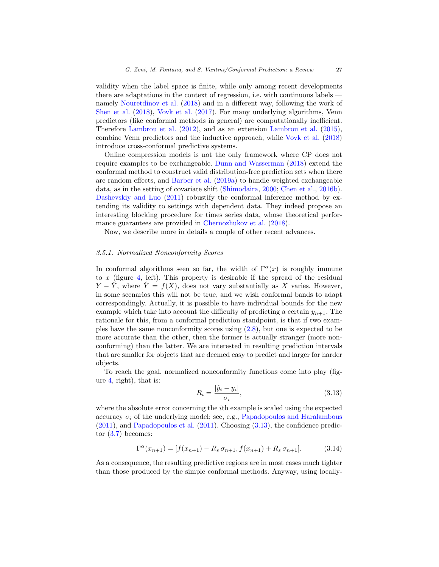validity when the label space is finite, while only among recent developments there are adaptations in the context of regression, i.e. with continuous labels namely [Nouretdinov et al.](#page-33-11) [\(2018\)](#page-33-11) and in a different way, following the work of [Shen et al.](#page-34-15) [\(2018\)](#page-34-15), [Vovk et al.](#page-35-4) [\(2017\)](#page-35-4). For many underlying algorithms, Venn predictors (like conformal methods in general) are computationally inefficient. Therefore [Lambrou et al.](#page-32-9) [\(2012\)](#page-32-9), and as an extension [Lambrou et al.](#page-32-10) [\(2015\)](#page-32-10), combine Venn predictors and the inductive approach, while [Vovk et al.](#page-35-5) [\(2018\)](#page-35-5) introduce cross-conformal predictive systems.

Online compression models is not the only framework where CP does not require examples to be exchangeable. [Dunn and Wasserman](#page-32-11) [\(2018\)](#page-32-11) extend the conformal method to construct valid distribution-free prediction sets when there are random effects, and [Barber et al.](#page-31-8) [\(2019a\)](#page-31-8) to handle weighted exchangeable data, as in the setting of covariate shift [\(Shimodaira,](#page-34-16) [2000;](#page-34-16) [Chen et al.,](#page-31-9) [2016b\)](#page-31-9). [Dashevskiy and Luo](#page-32-12) [\(2011\)](#page-32-12) robustify the conformal inference method by extending its validity to settings with dependent data. They indeed propose an interesting blocking procedure for times series data, whose theoretical performance guarantees are provided in [Chernozhukov et al.](#page-32-13) [\(2018\)](#page-32-13).

Now, we describe more in details a couple of other recent advances.

# 3.5.1. Normalized Nonconformity Scores

In conformal algorithms seen so far, the width of  $\Gamma^{\alpha}(x)$  is roughly immune to x (figure [4,](#page-27-0) left). This property is desirable if the spread of the residual  $Y - \hat{Y}$ , where  $\hat{Y} = f(X)$ , does not vary substantially as X varies. However, in some scenarios this will not be true, and we wish conformal bands to adapt correspondingly. Actually, it is possible to have individual bounds for the new example which take into account the difficulty of predicting a certain  $y_{n+1}$ . The rationale for this, from a conformal prediction standpoint, is that if two examples have the same nonconformity scores using [\(2.8\)](#page-8-1), but one is expected to be more accurate than the other, then the former is actually stranger (more nonconforming) than the latter. We are interested in resulting prediction intervals that are smaller for objects that are deemed easy to predict and larger for harder objects.

To reach the goal, normalized nonconformity functions come into play (figure [4,](#page-27-0) right), that is:

<span id="page-26-0"></span>
$$
R_i = \frac{|\hat{y}_i - y_i|}{\sigma_i},\tag{3.13}
$$

where the absolute error concerning the *i*th example is scaled using the expected accuracy  $\sigma_i$  of the underlying model; see, e.g., [Papadopoulos and Haralambous](#page-33-12)  $(2011)$ , and [Papadopoulos et al.](#page-34-17)  $(2011)$ . Choosing  $(3.13)$ , the confidence predictor  $(3.7)$  becomes:

$$
\Gamma^{\alpha}(x_{n+1}) = [f(x_{n+1}) - R_s \sigma_{n+1}, f(x_{n+1}) + R_s \sigma_{n+1}]. \tag{3.14}
$$

As a consequence, the resulting predictive regions are in most cases much tighter than those produced by the simple conformal methods. Anyway, using locally-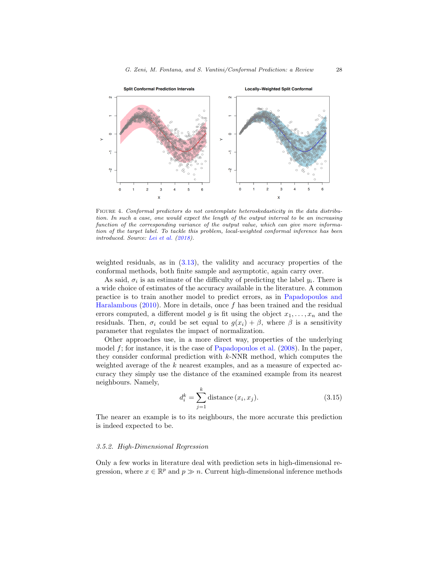

<span id="page-27-0"></span>Figure 4. Conformal predictors do not contemplate heteroskedasticity in the data distribution. In such a case, one would expect the length of the output interval to be an increasing function of the corresponding variance of the output value, which can give more information of the target label. To tackle this problem, local-weighted conformal inference has been introduced. Source: [Lei et al.](#page-32-1) [\(2018\)](#page-32-1).

weighted residuals, as in  $(3.13)$ , the validity and accuracy properties of the conformal methods, both finite sample and asymptotic, again carry over.

As said,  $\sigma_i$  is an estimate of the difficulty of predicting the label  $y_i$ . There is a wide choice of estimates of the accuracy available in the literature. A common practice is to train another model to predict errors, as in [Papadopoulos and](#page-33-13) [Haralambous](#page-33-13) [\(2010\)](#page-33-13). More in details, once  $f$  has been trained and the residual errors computed, a different model g is fit using the object  $x_1, \ldots, x_n$  and the residuals. Then,  $\sigma_i$  could be set equal to  $g(x_i) + \beta$ , where  $\beta$  is a sensitivity parameter that regulates the impact of normalization.

Other approaches use, in a more direct way, properties of the underlying model  $f$ ; for instance, it is the case of [Papadopoulos et al.](#page-33-14)  $(2008)$ . In the paper, they consider conformal prediction with  $k$ -NNR method, which computes the weighted average of the k nearest examples, and as a measure of expected accuracy they simply use the distance of the examined example from its nearest neighbours. Namely,

$$
d_i^k = \sum_{j=1}^k \text{distance}(x_i, x_j). \tag{3.15}
$$

The nearer an example is to its neighbours, the more accurate this prediction is indeed expected to be.

## 3.5.2. High-Dimensional Regression

Only a few works in literature deal with prediction sets in high-dimensional regression, where  $x \in \mathbb{R}^p$  and  $p \gg n$ . Current high-dimensional inference methods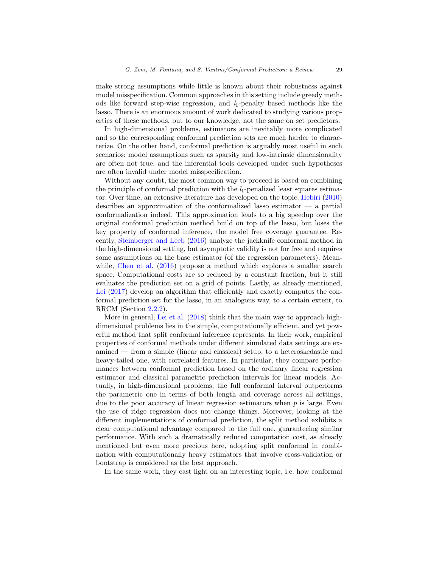make strong assumptions while little is known about their robustness against model misspecification. Common approaches in this setting include greedy methods like forward step-wise regression, and  $l_1$ -penalty based methods like the lasso. There is an enormous amount of work dedicated to studying various properties of these methods, but to our knowledge, not the same on set predictors.

In high-dimensional problems, estimators are inevitably more complicated and so the corresponding conformal prediction sets are much harder to characterize. On the other hand, conformal prediction is arguably most useful in such scenarios: model assumptions such as sparsity and low-intrinsic dimensionality are often not true, and the inferential tools developed under such hypotheses are often invalid under model misspecification.

Without any doubt, the most common way to proceed is based on combining the principle of conformal prediction with the  $l_1$ -penalized least squares estimator. Over time, an extensive literature has developed on the topic. [Hebiri](#page-32-14) [\(2010\)](#page-32-14) describes an approximation of the conformalized lasso estimator — a partial conformalization indeed. This approximation leads to a big speedup over the original conformal prediction method build on top of the lasso, but loses the key property of conformal inference, the model free coverage guarantee. Recently, [Steinberger and Leeb](#page-34-11) [\(2016\)](#page-34-11) analyze the jackknife conformal method in the high-dimensional setting, but asymptotic validity is not for free and requires some assumptions on the base estimator (of the regression parameters). Mean-while, [Chen et al.](#page-31-10)  $(2016)$  propose a method which explores a smaller search space. Computational costs are so reduced by a constant fraction, but it still evaluates the prediction set on a grid of points. Lastly, as already mentioned, [Lei](#page-32-3) [\(2017\)](#page-32-3) develop an algorithm that efficiently and exactly computes the conformal prediction set for the lasso, in an analogous way, to a certain extent, to RRCM (Section [2.2.2\)](#page-8-2).

More in general, [Lei et al.](#page-32-1) [\(2018\)](#page-32-1) think that the main way to approach highdimensional problems lies in the simple, computationally efficient, and yet powerful method that split conformal inference represents. In their work, empirical properties of conformal methods under different simulated data settings are examined — from a simple (linear and classical) setup, to a heteroskedastic and heavy-tailed one, with correlated features. In particular, they compare performances between conformal prediction based on the ordinary linear regression estimator and classical parametric prediction intervals for linear models. Actually, in high-dimensional problems, the full conformal interval outperforms the parametric one in terms of both length and coverage across all settings, due to the poor accuracy of linear regression estimators when  $p$  is large. Even the use of ridge regression does not change things. Moreover, looking at the different implementations of conformal prediction, the split method exhibits a clear computational advantage compared to the full one, guaranteeing similar performance. With such a dramatically reduced computation cost, as already mentioned but even more precious here, adopting split conformal in combination with computationally heavy estimators that involve cross-validation or bootstrap is considered as the best approach.

In the same work, they cast light on an interesting topic, i.e. how conformal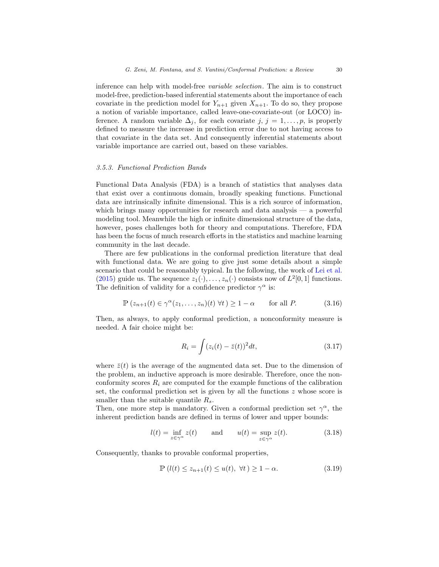inference can help with model-free variable selection. The aim is to construct model-free, prediction-based inferential statements about the importance of each covariate in the prediction model for  $Y_{n+1}$  given  $X_{n+1}$ . To do so, they propose a notion of variable importance, called leave-one-covariate-out (or LOCO) inference. A random variable  $\Delta_j$ , for each covariate  $j, j = 1, \ldots, p$ , is properly defined to measure the increase in prediction error due to not having access to that covariate in the data set. And consequently inferential statements about variable importance are carried out, based on these variables.

#### 3.5.3. Functional Prediction Bands

Functional Data Analysis (FDA) is a branch of statistics that analyses data that exist over a continuous domain, broadly speaking functions. Functional data are intrinsically infinite dimensional. This is a rich source of information, which brings many opportunities for research and data analysis — a powerful modeling tool. Meanwhile the high or infinite dimensional structure of the data, however, poses challenges both for theory and computations. Therefore, FDA has been the focus of much research efforts in the statistics and machine learning community in the last decade.

There are few publications in the conformal prediction literature that deal with functional data. We are going to give just some details about a simple scenario that could be reasonably typical. In the following, the work of [Lei et al.](#page-32-15) [\(2015\)](#page-32-15) guide us. The sequence  $z_1(\cdot), \ldots, z_n(\cdot)$  consists now of  $L^2[0,1]$  functions. The definition of validity for a confidence predictor  $\gamma^{\alpha}$  is:

<span id="page-29-0"></span>
$$
\mathbb{P}\left(z_{n+1}(t) \in \gamma^{\alpha}(z_1,\ldots,z_n)(t) \,\forall t\right) \ge 1-\alpha \qquad \text{for all } P. \tag{3.16}
$$

Then, as always, to apply conformal prediction, a nonconformity measure is needed. A fair choice might be:

$$
R_i = \int (z_i(t) - \bar{z}(t))^2 dt,
$$
\n(3.17)

where  $\bar{z}(t)$  is the average of the augmented data set. Due to the dimension of the problem, an inductive approach is more desirable. Therefore, once the nonconformity scores  $R_i$  are computed for the example functions of the calibration set, the conformal prediction set is given by all the functions  $z$  whose score is smaller than the suitable quantile  $R_s$ .

Then, one more step is mandatory. Given a conformal prediction set  $\gamma^{\alpha}$ , the inherent prediction bands are defined in terms of lower and upper bounds:

$$
l(t) = \inf_{z \in \gamma^{\alpha}} z(t) \quad \text{and} \quad u(t) = \sup_{z \in \gamma^{\alpha}} z(t). \tag{3.18}
$$

Consequently, thanks to provable conformal properties,

$$
\mathbb{P}\left(l(t) \le z_{n+1}(t) \le u(t), \ \forall t\right) \ge 1 - \alpha. \tag{3.19}
$$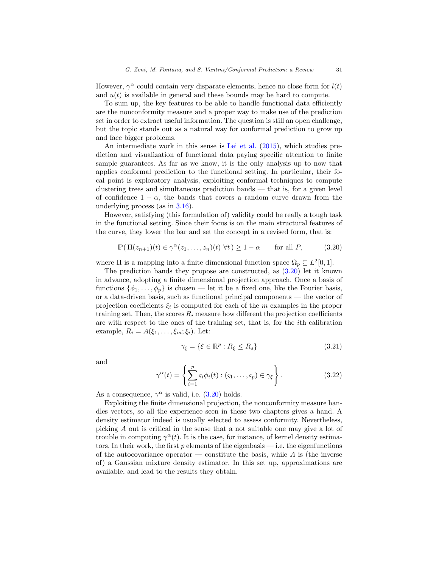However,  $\gamma^{\alpha}$  could contain very disparate elements, hence no close form for  $l(t)$ and  $u(t)$  is available in general and these bounds may be hard to compute.

To sum up, the key features to be able to handle functional data efficiently are the nonconformity measure and a proper way to make use of the prediction set in order to extract useful information. The question is still an open challenge, but the topic stands out as a natural way for conformal prediction to grow up and face bigger problems.

An intermediate work in this sense is [Lei et al.](#page-32-15) [\(2015\)](#page-32-15), which studies prediction and visualization of functional data paying specific attention to finite sample guarantees. As far as we know, it is the only analysis up to now that applies conformal prediction to the functional setting. In particular, their focal point is exploratory analysis, exploiting conformal techniques to compute clustering trees and simultaneous prediction bands — that is, for a given level of confidence  $1 - \alpha$ , the bands that covers a random curve drawn from the underlying process (as in [3.16\)](#page-29-0).

However, satisfying (this formulation of) validity could be really a tough task in the functional setting. Since their focus is on the main structural features of the curve, they lower the bar and set the concept in a revised form, that is:

<span id="page-30-0"></span>
$$
\mathbb{P}(\Pi(z_{n+1})(t) \in \gamma^{\alpha}(z_1, \dots, z_n)(t) \,\forall t) \ge 1 - \alpha \qquad \text{for all } P,\tag{3.20}
$$

where  $\Pi$  is a mapping into a finite dimensional function space  $\Omega_p \subseteq L^2[0,1]$ .

The prediction bands they propose are constructed, as  $(3.20)$  let it known in advance, adopting a finite dimensional projection approach. Once a basis of functions  $\{\phi_1, \ldots, \phi_n\}$  is chosen — let it be a fixed one, like the Fourier basis, or a data-driven basis, such as functional principal components — the vector of projection coefficients  $\xi_i$  is computed for each of the m examples in the proper training set. Then, the scores  $R_i$  measure how different the projection coefficients are with respect to the ones of the training set, that is, for the ith calibration example,  $R_i = A(\xi_1, \ldots, \xi_m; \xi_i)$ . Let:

$$
\gamma_{\xi} = \{ \xi \in \mathbb{R}^p : R_{\xi} \le R_s \} \tag{3.21}
$$

and

$$
\gamma^{\alpha}(t) = \left\{ \sum_{i=1}^{p} \varsigma_i \phi_i(t) : (\varsigma_1, \dots, \varsigma_p) \in \gamma_{\xi} \right\}.
$$
 (3.22)

As a consequence,  $\gamma^{\alpha}$  is valid, i.e. [\(3.20\)](#page-30-0) holds.

Exploiting the finite dimensional projection, the nonconformity measure handles vectors, so all the experience seen in these two chapters gives a hand. A density estimator indeed is usually selected to assess conformity. Nevertheless, picking A out is critical in the sense that a not suitable one may give a lot of trouble in computing  $\gamma^{\alpha}(t)$ . It is the case, for instance, of kernel density estimators. In their work, the first  $p$  elements of the eigenbasis — i.e. the eigenfunctions of the autocovariance operator — constitute the basis, while  $A$  is (the inverse of) a Gaussian mixture density estimator. In this set up, approximations are available, and lead to the results they obtain.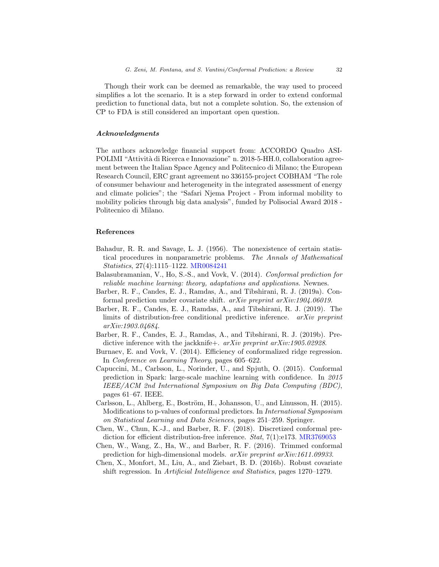Though their work can be deemed as remarkable, the way used to proceed simplifies a lot the scenario. It is a step forward in order to extend conformal prediction to functional data, but not a complete solution. So, the extension of CP to FDA is still considered an important open question.

# Acknowledgments

The authors acknowledge financial support from: ACCORDO Quadro ASI-POLIMI "Attività di Ricerca e Innovazione" n. 2018-5-HH.0, collaboration agreement between the Italian Space Agency and Politecnico di Milano; the European Research Council, ERC grant agreement no 336155-project COBHAM "The role of consumer behaviour and heterogeneity in the integrated assessment of energy and climate policies"; the "Safari Njema Project - From informal mobility to mobility policies through big data analysis", funded by Polisocial Award 2018 - Politecnico di Milano.

#### References

- <span id="page-31-2"></span>Bahadur, R. R. and Savage, L. J. (1956). The nonexistence of certain statistical procedures in nonparametric problems. The Annals of Mathematical Statistics, 27(4):1115–1122. [MR0084241](http://www.ams.org/mathscinet-getitem?mr=0084241)
- <span id="page-31-0"></span>Balasubramanian, V., Ho, S.-S., and Vovk, V. (2014). Conformal prediction for reliable machine learning: theory, adaptations and applications. Newnes.
- <span id="page-31-8"></span>Barber, R. F., Candes, E. J., Ramdas, A., and Tibshirani, R. J. (2019a). Conformal prediction under covariate shift. arXiv preprint arXiv:1904.06019.
- <span id="page-31-3"></span>Barber, R. F., Candes, E. J., Ramdas, A., and Tibshirani, R. J. (2019). The limits of distribution-free conditional predictive inference. arXiv preprint arXiv:1903.04684.
- <span id="page-31-6"></span>Barber, R. F., Candes, E. J., Ramdas, A., and Tibshirani, R. J. (2019b). Predictive inference with the jackknife+.  $arXiv$  preprint  $arXiv:1905.02928$ .
- <span id="page-31-1"></span>Burnaev, E. and Vovk, V. (2014). Efficiency of conformalized ridge regression. In Conference on Learning Theory, pages 605–622.
- <span id="page-31-4"></span>Capuccini, M., Carlsson, L., Norinder, U., and Spjuth, O. (2015). Conformal prediction in Spark: large-scale machine learning with confidence. In 2015 IEEE/ACM 2nd International Symposium on Big Data Computing (BDC), pages 61–67. IEEE.
- <span id="page-31-5"></span>Carlsson, L., Ahlberg, E., Boström, H., Johansson, U., and Linusson, H. (2015). Modifications to p-values of conformal predictors. In International Symposium on Statistical Learning and Data Sciences, pages 251–259. Springer.
- <span id="page-31-7"></span>Chen, W., Chun, K.-J., and Barber, R. F. (2018). Discretized conformal pre-diction for efficient distribution-free inference. Stat, 7(1):e173. [MR3769053](http://www.ams.org/mathscinet-getitem?mr=3769053)
- <span id="page-31-10"></span>Chen, W., Wang, Z., Ha, W., and Barber, R. F. (2016). Trimmed conformal prediction for high-dimensional models. arXiv preprint arXiv:1611.09933.
- <span id="page-31-9"></span>Chen, X., Monfort, M., Liu, A., and Ziebart, B. D. (2016b). Robust covariate shift regression. In Artificial Intelligence and Statistics, pages 1270–1279.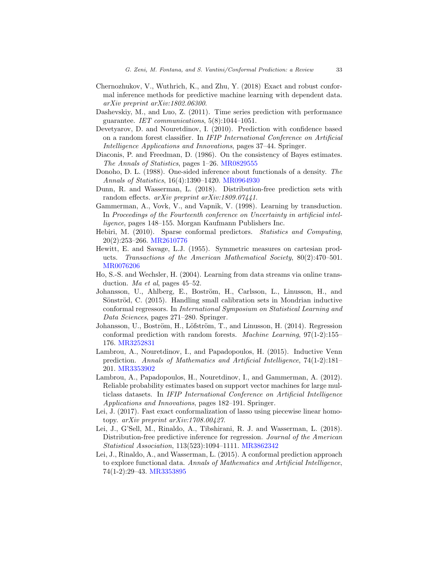- <span id="page-32-13"></span>Chernozhukov, V., Wuthrich, K., and Zhu, Y. (2018) Exact and robust conformal inference methods for predictive machine learning with dependent data. arXiv preprint arXiv:1802.06300.
- <span id="page-32-12"></span>Dashevskiy, M., and Luo, Z. (2011). Time series prediction with performance guarantee. IET communications, 5(8):1044–1051.
- <span id="page-32-2"></span>Devetyarov, D. and Nouretdinov, I. (2010). Prediction with confidence based on a random forest classifier. In IFIP International Conference on Artificial Intelligence Applications and Innovations, pages 37–44. Springer.
- <span id="page-32-4"></span>Diaconis, P. and Freedman, D. (1986). On the consistency of Bayes estimates. The Annals of Statistics, pages 1–26. [MR0829555](http://www.ams.org/mathscinet-getitem?mr=0829555)
- <span id="page-32-6"></span>Donoho, D. L. (1988). One-sided inference about functionals of a density. The Annals of Statistics, 16(4):1390–1420. [MR0964930](http://www.ams.org/mathscinet-getitem?mr=0964930)
- <span id="page-32-11"></span>Dunn, R. and Wasserman, L. (2018). Distribution-free prediction sets with random effects. arXiv preprint arXiv:1809.07441.
- <span id="page-32-0"></span>Gammerman, A., Vovk, V., and Vapnik, V. (1998). Learning by transduction. In Proceedings of the Fourteenth conference on Uncertainty in artificial intelligence, pages 148–155. Morgan Kaufmann Publishers Inc.
- <span id="page-32-14"></span>Hebiri, M. (2010). Sparse conformal predictors. Statistics and Computing, 20(2):253–266. [MR2610776](http://www.ams.org/mathscinet-getitem?mr=2610776)
- <span id="page-32-5"></span>Hewitt, E. and Savage, L.J. (1955). Symmetric measures on cartesian products. Transactions of the American Mathematical Society, 80(2):470–501. [MR0076206](http://www.ams.org/mathscinet-getitem?mr=0076206)
- <span id="page-32-7"></span>Ho, S.-S. and Wechsler, H. (2004). Learning from data streams via online transduction. Ma et al, pages 45–52.
- <span id="page-32-8"></span>Johansson, U., Ahlberg, E., Boström, H., Carlsson, L., Linusson, H., and Sönströd, C. (2015). Handling small calibration sets in Mondrian inductive conformal regressors. In International Symposium on Statistical Learning and Data Sciences, pages 271–280. Springer.
- Johansson, U., Boström, H., Löfström, T., and Linusson, H. (2014). Regression conformal prediction with random forests. Machine Learning, 97(1-2):155– 176. [MR3252831](http://www.ams.org/mathscinet-getitem?mr=3252831)
- <span id="page-32-10"></span>Lambrou, A., Nouretdinov, I., and Papadopoulos, H. (2015). Inductive Venn prediction. Annals of Mathematics and Artificial Intelligence, 74(1-2):181– 201. [MR3353902](http://www.ams.org/mathscinet-getitem?mr=3353902)
- <span id="page-32-9"></span>Lambrou, A., Papadopoulos, H., Nouretdinov, I., and Gammerman, A. (2012). Reliable probability estimates based on support vector machines for large multiclass datasets. In IFIP International Conference on Artificial Intelligence Applications and Innovations, pages 182–191. Springer.
- <span id="page-32-3"></span>Lei, J. (2017). Fast exact conformalization of lasso using piecewise linear homotopy. arXiv preprint arXiv:1708.00427.
- <span id="page-32-1"></span>Lei, J., G'Sell, M., Rinaldo, A., Tibshirani, R. J. and Wasserman, L. (2018). Distribution-free predictive inference for regression. Journal of the American Statistical Association, 113(523):1094–1111. [MR3862342](http://www.ams.org/mathscinet-getitem?mr=3862342)
- <span id="page-32-15"></span>Lei, J., Rinaldo, A., and Wasserman, L. (2015). A conformal prediction approach to explore functional data. Annals of Mathematics and Artificial Intelligence, 74(1-2):29–43. [MR3353895](http://www.ams.org/mathscinet-getitem?mr=3353895)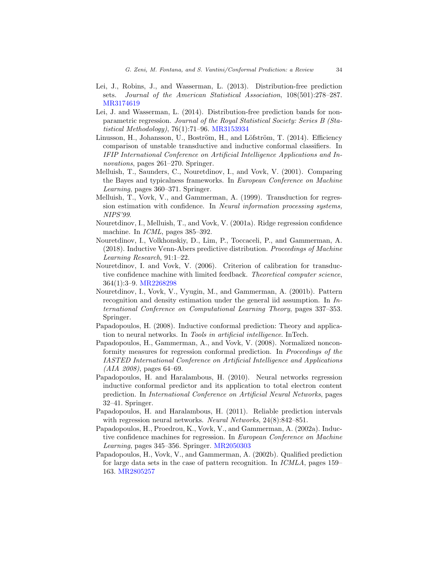- <span id="page-33-0"></span>Lei, J., Robins, J., and Wasserman, L. (2013). Distribution-free prediction sets. Journal of the American Statistical Association, 108(501):278–287. [MR3174619](http://www.ams.org/mathscinet-getitem?mr=3174619)
- <span id="page-33-3"></span>Lei, J. and Wasserman, L. (2014). Distribution-free prediction bands for nonparametric regression. Journal of the Royal Statistical Society: Series B (Statistical Methodology), 76(1):71–96. [MR3153934](http://www.ams.org/mathscinet-getitem?mr=3153934)
- <span id="page-33-9"></span>Linusson, H., Johansson, U., Boström, H., and Löfström, T. (2014). Efficiency comparison of unstable transductive and inductive conformal classifiers. In IFIP International Conference on Artificial Intelligence Applications and Innovations, pages 261–270. Springer.
- <span id="page-33-4"></span>Melluish, T., Saunders, C., Nouretdinov, I., and Vovk, V. (2001). Comparing the Bayes and typicalness frameworks. In European Conference on Machine Learning, pages 360–371. Springer.
- <span id="page-33-1"></span>Melluish, T., Vovk, V., and Gammerman, A. (1999). Transduction for regression estimation with confidence. In Neural information processing systems, NIPS'99.
- <span id="page-33-2"></span>Nouretdinov, I., Melluish, T., and Vovk, V. (2001a). Ridge regression confidence machine. In ICML, pages 385–392.
- <span id="page-33-11"></span>Nouretdinov, I., Volkhonskiy, D., Lim, P., Toccaceli, P., and Gammerman, A. (2018). Inductive Venn-Abers predictive distribution. Proceedings of Machine Learning Research, 91:1–22.
- <span id="page-33-10"></span>Nouretdinov, I. and Vovk, V. (2006). Criterion of calibration for transductive confidence machine with limited feedback. Theoretical computer science, 364(1):3–9. [MR2268298](http://www.ams.org/mathscinet-getitem?mr=2268298)
- <span id="page-33-5"></span>Nouretdinov, I., Vovk, V., Vyugin, M., and Gammerman, A. (2001b). Pattern recognition and density estimation under the general iid assumption. In International Conference on Computational Learning Theory, pages 337–353. Springer.
- <span id="page-33-8"></span>Papadopoulos, H. (2008). Inductive conformal prediction: Theory and application to neural networks. In Tools in artificial intelligence. InTech.
- <span id="page-33-14"></span>Papadopoulos, H., Gammerman, A., and Vovk, V. (2008). Normalized nonconformity measures for regression conformal prediction. In Proceedings of the IASTED International Conference on Artificial Intelligence and Applications  $(AIA\ 2008)$ , pages 64–69.
- <span id="page-33-13"></span>Papadopoulos, H. and Haralambous, H. (2010). Neural networks regression inductive conformal predictor and its application to total electron content prediction. In International Conference on Artificial Neural Networks, pages 32–41. Springer.
- <span id="page-33-12"></span>Papadopoulos, H. and Haralambous, H. (2011). Reliable prediction intervals with regression neural networks. Neural Networks, 24(8):842–851.
- <span id="page-33-6"></span>Papadopoulos, H., Proedrou, K., Vovk, V., and Gammerman, A. (2002a). Inductive confidence machines for regression. In European Conference on Machine Learning, pages 345–356. Springer. [MR2050303](http://www.ams.org/mathscinet-getitem?mr=2050303)
- <span id="page-33-7"></span>Papadopoulos, H., Vovk, V., and Gammerman, A. (2002b). Qualified prediction for large data sets in the case of pattern recognition. In ICMLA, pages 159– 163. [MR2805257](http://www.ams.org/mathscinet-getitem?mr=2805257)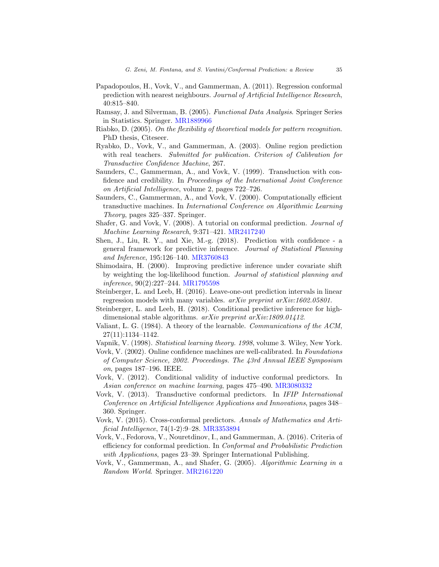- <span id="page-34-17"></span>Papadopoulos, H., Vovk, V., and Gammerman, A. (2011). Regression conformal prediction with nearest neighbours. Journal of Artificial Intelligence Research, 40:815–840.
- Ramsay, J. and Silverman, B. (2005). Functional Data Analysis. Springer Series in Statistics. Springer. [MR1889966](http://www.ams.org/mathscinet-getitem?mr=1889966)
- <span id="page-34-13"></span>Riabko, D. (2005). On the flexibility of theoretical models for pattern recognition. PhD thesis, Citeseer.
- <span id="page-34-14"></span>Ryabko, D., Vovk, V., and Gammerman, A. (2003). Online region prediction with real teachers. Submitted for publication. Criterion of Calibration for Transductive Confidence Machine, 267.
- <span id="page-34-3"></span>Saunders, C., Gammerman, A., and Vovk, V. (1999). Transduction with confidence and credibility. In Proceedings of the International Joint Conference on Artificial Intelligence, volume 2, pages 722–726.
- <span id="page-34-7"></span>Saunders, C., Gammerman, A., and Vovk, V. (2000). Computationally efficient transductive machines. In International Conference on Algorithmic Learning Theory, pages 325–337. Springer.
- <span id="page-34-1"></span>Shafer, G. and Vovk, V. (2008). A tutorial on conformal prediction. Journal of Machine Learning Research, 9:371–421. [MR2417240](http://www.ams.org/mathscinet-getitem?mr=2417240)
- <span id="page-34-15"></span>Shen, J., Liu, R. Y., and Xie, M.-g. (2018). Prediction with confidence - a general framework for predictive inference. Journal of Statistical Planning and Inference, 195:126–140. [MR3760843](http://www.ams.org/mathscinet-getitem?mr=3760843)
- <span id="page-34-16"></span>Shimodaira, H. (2000). Improving predictive inference under covariate shift by weighting the log-likelihood function. Journal of statistical planning and inference, 90(2):227–244. [MR1795598](http://www.ams.org/mathscinet-getitem?mr=1795598)
- <span id="page-34-11"></span>Steinberger, L. and Leeb, H. (2016). Leave-one-out prediction intervals in linear regression models with many variables. arXiv preprint arXiv:1602.05801.
- <span id="page-34-12"></span>Steinberger, L. and Leeb, H. (2018). Conditional predictive inference for highdimensional stable algorithms. *arXiv preprint arXiv:1809.01412*.
- <span id="page-34-4"></span>Valiant, L. G. (1984). A theory of the learnable. Communications of the ACM, 27(11):1134–1142.
- <span id="page-34-9"></span>Vapnik, V. (1998). Statistical learning theory. 1998, volume 3. Wiley, New York.
- <span id="page-34-6"></span>Vovk, V. (2002). Online confidence machines are well-calibrated. In Foundations of Computer Science, 2002. Proceedings. The 43rd Annual IEEE Symposium on, pages 187–196. IEEE.
- <span id="page-34-5"></span>Vovk, V. (2012). Conditional validity of inductive conformal predictors. In Asian conference on machine learning, pages 475–490. [MR3080332](http://www.ams.org/mathscinet-getitem?mr=3080332)
- <span id="page-34-8"></span>Vovk, V. (2013). Transductive conformal predictors. In IFIP International Conference on Artificial Intelligence Applications and Innovations, pages 348– 360. Springer.
- <span id="page-34-10"></span>Vovk, V. (2015). Cross-conformal predictors. Annals of Mathematics and Artificial Intelligence, 74(1-2):9–28. [MR3353894](http://www.ams.org/mathscinet-getitem?mr=3353894)
- <span id="page-34-2"></span>Vovk, V., Fedorova, V., Nouretdinov, I., and Gammerman, A. (2016). Criteria of efficiency for conformal prediction. In Conformal and Probabilistic Prediction with Applications, pages 23–39. Springer International Publishing.
- <span id="page-34-0"></span>Vovk, V., Gammerman, A., and Shafer, G. (2005). Algorithmic Learning in a Random World. Springer. [MR2161220](http://www.ams.org/mathscinet-getitem?mr=2161220)